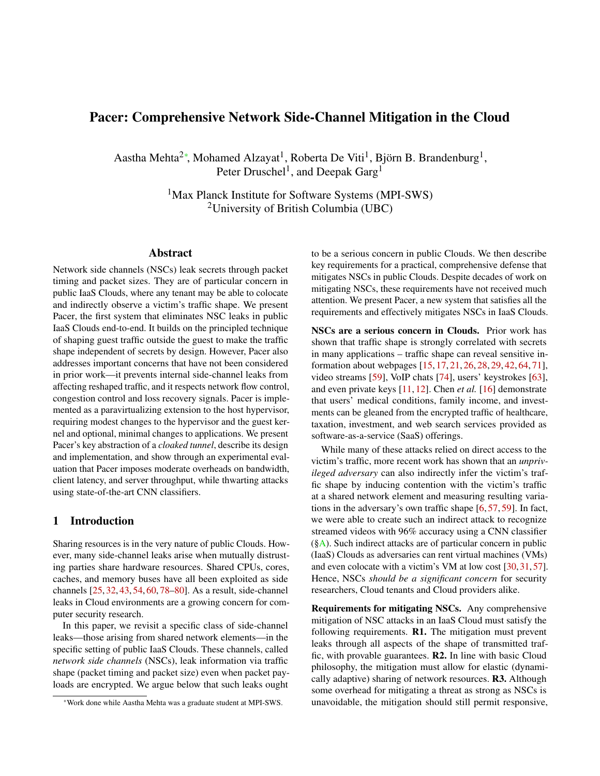# Pacer: Comprehensive Network Side-Channel Mitigation in the Cloud

Aastha Mehta<sup>2∗</sup>, Mohamed Alzayat<sup>1</sup>, Roberta De Viti<sup>1</sup>, Björn B. Brandenburg<sup>1</sup>, Peter Druschel<sup>1</sup>, and Deepak Garg<sup>1</sup>

> <sup>1</sup>Max Planck Institute for Software Systems (MPI-SWS) <sup>2</sup>University of British Columbia (UBC)

## Abstract

Network side channels (NSCs) leak secrets through packet timing and packet sizes. They are of particular concern in public IaaS Clouds, where any tenant may be able to colocate and indirectly observe a victim's traffic shape. We present Pacer, the first system that eliminates NSC leaks in public IaaS Clouds end-to-end. It builds on the principled technique of shaping guest traffic outside the guest to make the traffic shape independent of secrets by design. However, Pacer also addresses important concerns that have not been considered in prior work—it prevents internal side-channel leaks from affecting reshaped traffic, and it respects network flow control, congestion control and loss recovery signals. Pacer is implemented as a paravirtualizing extension to the host hypervisor, requiring modest changes to the hypervisor and the guest kernel and optional, minimal changes to applications. We present Pacer's key abstraction of a *cloaked tunnel*, describe its design and implementation, and show through an experimental evaluation that Pacer imposes moderate overheads on bandwidth, client latency, and server throughput, while thwarting attacks using state-of-the-art CNN classifiers.

## <span id="page-0-0"></span>1 Introduction

Sharing resources is in the very nature of public Clouds. However, many side-channel leaks arise when mutually distrusting parties share hardware resources. Shared CPUs, cores, caches, and memory buses have all been exploited as side channels [\[25,](#page-15-0) [32,](#page-15-1) [43,](#page-16-0) [54,](#page-16-1) [60,](#page-16-2) [78](#page-17-0)[–80\]](#page-17-1). As a result, side-channel leaks in Cloud environments are a growing concern for computer security research.

In this paper, we revisit a specific class of side-channel leaks—those arising from shared network elements—in the specific setting of public IaaS Clouds. These channels, called *network side channels* (NSCs), leak information via traffic shape (packet timing and packet size) even when packet payloads are encrypted. We argue below that such leaks ought to be a serious concern in public Clouds. We then describe key requirements for a practical, comprehensive defense that mitigates NSCs in public Clouds. Despite decades of work on mitigating NSCs, these requirements have not received much attention. We present Pacer, a new system that satisfies all the requirements and effectively mitigates NSCs in IaaS Clouds.

NSCs are a serious concern in Clouds. Prior work has shown that traffic shape is strongly correlated with secrets in many applications – traffic shape can reveal sensitive information about webpages [\[15,](#page-14-0) [17,](#page-15-2) [21,](#page-15-3) [26,](#page-15-4) [28,](#page-15-5) [29,](#page-15-6) [42,](#page-16-3) [64,](#page-17-2) [71\]](#page-17-3), video streams [\[59\]](#page-16-4), VoIP chats [\[74\]](#page-17-4), users' keystrokes [\[63\]](#page-17-5), and even private keys [\[11,](#page-14-1) [12\]](#page-14-2). Chen *et al.* [\[16\]](#page-15-7) demonstrate that users' medical conditions, family income, and investments can be gleaned from the encrypted traffic of healthcare, taxation, investment, and web search services provided as software-as-a-service (SaaS) offerings.

While many of these attacks relied on direct access to the victim's traffic, more recent work has shown that an *unprivileged adversary* can also indirectly infer the victim's traffic shape by inducing contention with the victim's traffic at a shared network element and measuring resulting variations in the adversary's own traffic shape [\[6,](#page-14-3) [57,](#page-16-5) [59\]](#page-16-4). In fact, we were able to create such an indirect attack to recognize streamed videos with 96% accuracy using a CNN classifier  $(\S A)$ . Such indirect attacks are of particular concern in public (IaaS) Clouds as adversaries can rent virtual machines (VMs) and even colocate with a victim's VM at low cost [\[30,](#page-15-8) [31,](#page-15-9) [57\]](#page-16-5). Hence, NSCs *should be a significant concern* for security researchers, Cloud tenants and Cloud providers alike.

Requirements for mitigating NSCs. Any comprehensive mitigation of NSC attacks in an IaaS Cloud must satisfy the following requirements.  $R1$ . The mitigation must prevent leaks through all aspects of the shape of transmitted traffic, with provable guarantees. R2. In line with basic Cloud philosophy, the mitigation must allow for elastic (dynamically adaptive) sharing of network resources. R3. Although some overhead for mitigating a threat as strong as NSCs is unavoidable, the mitigation should still permit responsive,

<sup>∗</sup>Work done while Aastha Mehta was a graduate student at MPI-SWS.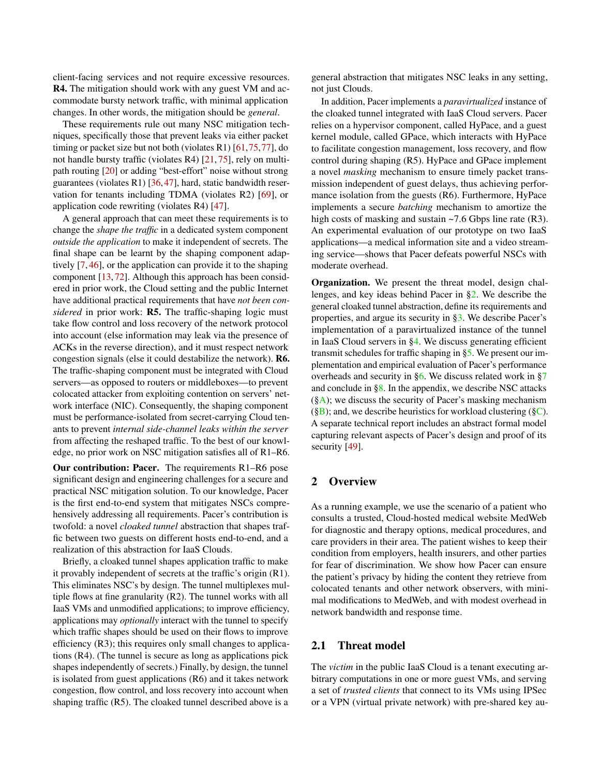client-facing services and not require excessive resources. R4. The mitigation should work with any guest VM and accommodate bursty network traffic, with minimal application changes. In other words, the mitigation should be *general*.

These requirements rule out many NSC mitigation techniques, specifically those that prevent leaks via either packet timing or packet size but not both (violates R1) [\[61,](#page-17-7)[75,](#page-17-8)[77\]](#page-17-9), do not handle bursty traffic (violates R4) [\[21,](#page-15-3) [75\]](#page-17-8), rely on multipath routing [\[20\]](#page-15-10) or adding "best-effort" noise without strong guarantees (violates R1) [\[36,](#page-15-11)[47\]](#page-16-6), hard, static bandwidth reservation for tenants including TDMA (violates R2) [\[69\]](#page-17-10), or application code rewriting (violates R4) [\[47\]](#page-16-6).

A general approach that can meet these requirements is to change the *shape the traffic* in a dedicated system component *outside the application* to make it independent of secrets. The final shape can be learnt by the shaping component adaptively [\[7,](#page-14-4) [46\]](#page-16-7), or the application can provide it to the shaping component [\[13,](#page-14-5) [72\]](#page-17-11). Although this approach has been considered in prior work, the Cloud setting and the public Internet have additional practical requirements that have *not been considered* in prior work: R5. The traffic-shaping logic must take flow control and loss recovery of the network protocol into account (else information may leak via the presence of ACKs in the reverse direction), and it must respect network congestion signals (else it could destabilize the network). R6. The traffic-shaping component must be integrated with Cloud servers—as opposed to routers or middleboxes—to prevent colocated attacker from exploiting contention on servers' network interface (NIC). Consequently, the shaping component must be performance-isolated from secret-carrying Cloud tenants to prevent *internal side-channel leaks within the server* from affecting the reshaped traffic. To the best of our knowledge, no prior work on NSC mitigation satisfies all of R1–R6.

Our contribution: Pacer. The requirements R1–R6 pose significant design and engineering challenges for a secure and practical NSC mitigation solution. To our knowledge, Pacer is the first end-to-end system that mitigates NSCs comprehensively addressing all requirements. Pacer's contribution is twofold: a novel *cloaked tunnel* abstraction that shapes traffic between two guests on different hosts end-to-end, and a realization of this abstraction for IaaS Clouds.

Briefly, a cloaked tunnel shapes application traffic to make it provably independent of secrets at the traffic's origin (R1). This eliminates NSC's by design. The tunnel multiplexes multiple flows at fine granularity (R2). The tunnel works with all IaaS VMs and unmodified applications; to improve efficiency, applications may *optionally* interact with the tunnel to specify which traffic shapes should be used on their flows to improve efficiency (R3); this requires only small changes to applications (R4). (The tunnel is secure as long as applications pick shapes independently of secrets.) Finally, by design, the tunnel is isolated from guest applications (R6) and it takes network congestion, flow control, and loss recovery into account when shaping traffic (R5). The cloaked tunnel described above is a

general abstraction that mitigates NSC leaks in any setting, not just Clouds.

In addition, Pacer implements a *paravirtualized* instance of the cloaked tunnel integrated with IaaS Cloud servers. Pacer relies on a hypervisor component, called HyPace, and a guest kernel module, called GPace, which interacts with HyPace to facilitate congestion management, loss recovery, and flow control during shaping (R5). HyPace and GPace implement a novel *masking* mechanism to ensure timely packet transmission independent of guest delays, thus achieving performance isolation from the guests (R6). Furthermore, HyPace implements a secure *batching* mechanism to amortize the high costs of masking and sustain ~7.6 Gbps line rate (R3). An experimental evaluation of our prototype on two IaaS applications—a medical information site and a video streaming service—shows that Pacer defeats powerful NSCs with moderate overhead.

Organization. We present the threat model, design challenges, and key ideas behind Pacer in [§2.](#page-1-0) We describe the general cloaked tunnel abstraction, define its requirements and properties, and argue its security in [§3.](#page-3-0) We describe Pacer's implementation of a paravirtualized instance of the tunnel in IaaS Cloud servers in [§4.](#page-4-0) We discuss generating efficient transmit schedules for traffic shaping in [§5.](#page-8-0) We present our implementation and empirical evaluation of Pacer's performance overheads and security in [§6.](#page-9-0) We discuss related work in [§7](#page-13-0) and conclude in  $\S 8$ . In the appendix, we describe NSC attacks  $(\S A)$ ; we discuss the security of Pacer's masking mechanism  $(\S B)$ ; and, we describe heuristics for workload clustering  $(\S C)$ . A separate technical report includes an abstract formal model capturing relevant aspects of Pacer's design and proof of its security [\[49\]](#page-16-8).

## <span id="page-1-0"></span>2 Overview

As a running example, we use the scenario of a patient who consults a trusted, Cloud-hosted medical website MedWeb for diagnostic and therapy options, medical procedures, and care providers in their area. The patient wishes to keep their condition from employers, health insurers, and other parties for fear of discrimination. We show how Pacer can ensure the patient's privacy by hiding the content they retrieve from colocated tenants and other network observers, with minimal modifications to MedWeb, and with modest overhead in network bandwidth and response time.

#### <span id="page-1-1"></span>2.1 Threat model

The *victim* in the public IaaS Cloud is a tenant executing arbitrary computations in one or more guest VMs, and serving a set of *trusted clients* that connect to its VMs using IPSec or a VPN (virtual private network) with pre-shared key au-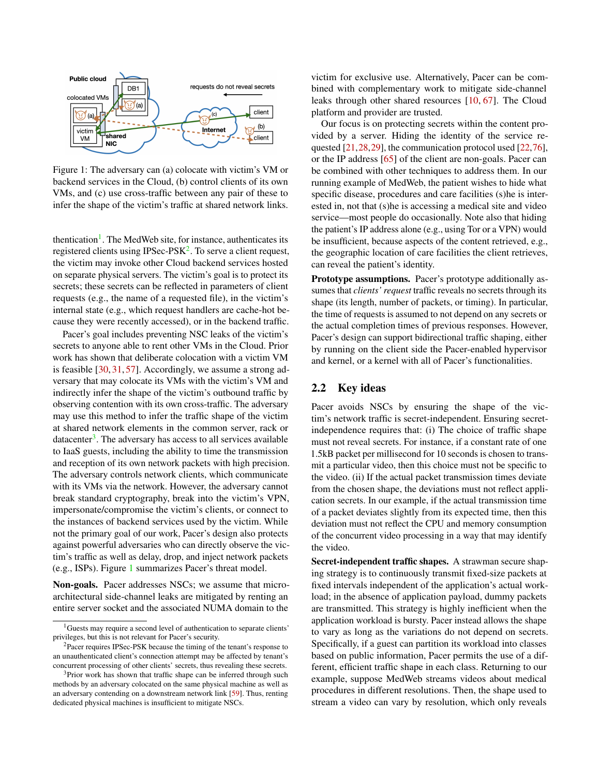<span id="page-2-3"></span>

Figure 1: The adversary can (a) colocate with victim's VM or backend services in the Cloud, (b) control clients of its own VMs, and (c) use cross-traffic between any pair of these to infer the shape of the victim's traffic at shared network links.

thentication<sup>[1](#page-2-0)</sup>. The MedWeb site, for instance, authenticates its registered clients using IPSec-PS $K^2$  $K^2$ . To serve a client request, the victim may invoke other Cloud backend services hosted on separate physical servers. The victim's goal is to protect its secrets; these secrets can be reflected in parameters of client requests (e.g., the name of a requested file), in the victim's internal state (e.g., which request handlers are cache-hot because they were recently accessed), or in the backend traffic.

Pacer's goal includes preventing NSC leaks of the victim's secrets to anyone able to rent other VMs in the Cloud. Prior work has shown that deliberate colocation with a victim VM is feasible [\[30,](#page-15-8) [31,](#page-15-9) [57\]](#page-16-5). Accordingly, we assume a strong adversary that may colocate its VMs with the victim's VM and indirectly infer the shape of the victim's outbound traffic by observing contention with its own cross-traffic. The adversary may use this method to infer the traffic shape of the victim at shared network elements in the common server, rack or datacenter<sup>[3](#page-2-2)</sup>. The adversary has access to all services available to IaaS guests, including the ability to time the transmission and reception of its own network packets with high precision. The adversary controls network clients, which communicate with its VMs via the network. However, the adversary cannot break standard cryptography, break into the victim's VPN, impersonate/compromise the victim's clients, or connect to the instances of backend services used by the victim. While not the primary goal of our work, Pacer's design also protects against powerful adversaries who can directly observe the victim's traffic as well as delay, drop, and inject network packets (e.g., ISPs). Figure [1](#page-2-3) summarizes Pacer's threat model.

Non-goals. Pacer addresses NSCs; we assume that microarchitectural side-channel leaks are mitigated by renting an entire server socket and the associated NUMA domain to the

victim for exclusive use. Alternatively, Pacer can be combined with complementary work to mitigate side-channel leaks through other shared resources [\[10,](#page-14-7) [67\]](#page-17-12). The Cloud platform and provider are trusted.

Our focus is on protecting secrets within the content provided by a server. Hiding the identity of the service re-quested [\[21,](#page-15-3) [28,](#page-15-5) [29\]](#page-15-6), the communication protocol used [\[22,](#page-15-12) [76\]](#page-17-13), or the IP address [\[65\]](#page-17-14) of the client are non-goals. Pacer can be combined with other techniques to address them. In our running example of MedWeb, the patient wishes to hide what specific disease, procedures and care facilities (s)he is interested in, not that (s)he is accessing a medical site and video service—most people do occasionally. Note also that hiding the patient's IP address alone (e.g., using Tor or a VPN) would be insufficient, because aspects of the content retrieved, e.g., the geographic location of care facilities the client retrieves, can reveal the patient's identity.

Prototype assumptions. Pacer's prototype additionally assumes that *clients' request* traffic reveals no secrets through its shape (its length, number of packets, or timing). In particular, the time of requests is assumed to not depend on any secrets or the actual completion times of previous responses. However, Pacer's design can support bidirectional traffic shaping, either by running on the client side the Pacer-enabled hypervisor and kernel, or a kernel with all of Pacer's functionalities.

## 2.2 Key ideas

Pacer avoids NSCs by ensuring the shape of the victim's network traffic is secret-independent. Ensuring secretindependence requires that: (i) The choice of traffic shape must not reveal secrets. For instance, if a constant rate of one 1.5kB packet per millisecond for 10 seconds is chosen to transmit a particular video, then this choice must not be specific to the video. (ii) If the actual packet transmission times deviate from the chosen shape, the deviations must not reflect application secrets. In our example, if the actual transmission time of a packet deviates slightly from its expected time, then this deviation must not reflect the CPU and memory consumption of the concurrent video processing in a way that may identify the video.

Secret-independent traffic shapes. A strawman secure shaping strategy is to continuously transmit fixed-size packets at fixed intervals independent of the application's actual workload; in the absence of application payload, dummy packets are transmitted. This strategy is highly inefficient when the application workload is bursty. Pacer instead allows the shape to vary as long as the variations do not depend on secrets. Specifically, if a guest can partition its workload into classes based on public information, Pacer permits the use of a different, efficient traffic shape in each class. Returning to our example, suppose MedWeb streams videos about medical procedures in different resolutions. Then, the shape used to stream a video can vary by resolution, which only reveals

<span id="page-2-0"></span><sup>&</sup>lt;sup>1</sup>Guests may require a second level of authentication to separate clients' privileges, but this is not relevant for Pacer's security.

<span id="page-2-1"></span> $2$ Pacer requires IPSec-PSK because the timing of the tenant's response to an unauthenticated client's connection attempt may be affected by tenant's concurrent processing of other clients' secrets, thus revealing these secrets.

<span id="page-2-2"></span><sup>&</sup>lt;sup>3</sup>Prior work has shown that traffic shape can be inferred through such methods by an adversary colocated on the same physical machine as well as an adversary contending on a downstream network link [\[59\]](#page-16-4). Thus, renting dedicated physical machines is insufficient to mitigate NSCs.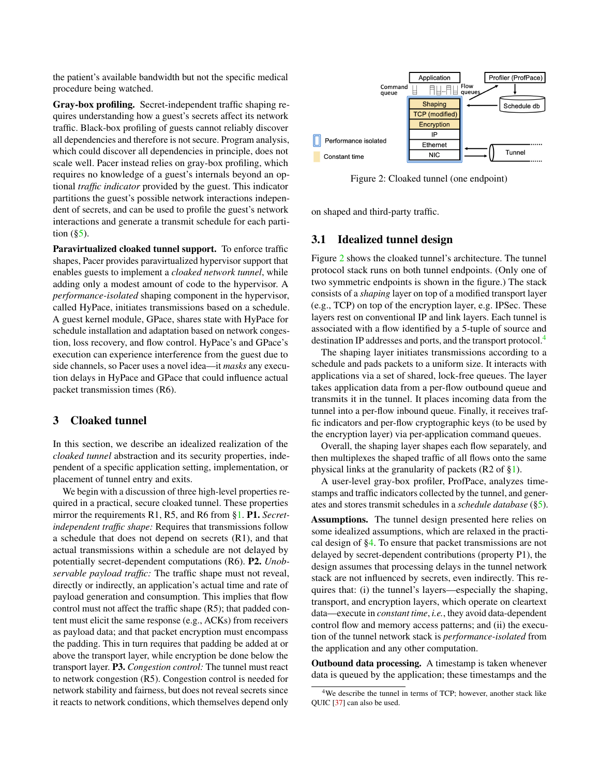the patient's available bandwidth but not the specific medical procedure being watched.

Gray-box profiling. Secret-independent traffic shaping requires understanding how a guest's secrets affect its network traffic. Black-box profiling of guests cannot reliably discover all dependencies and therefore is not secure. Program analysis, which could discover all dependencies in principle, does not scale well. Pacer instead relies on gray-box profiling, which requires no knowledge of a guest's internals beyond an optional *traffic indicator* provided by the guest. This indicator partitions the guest's possible network interactions independent of secrets, and can be used to profile the guest's network interactions and generate a transmit schedule for each partition  $(\S5)$ .

Paravirtualized cloaked tunnel support. To enforce traffic shapes, Pacer provides paravirtualized hypervisor support that enables guests to implement a *cloaked network tunnel*, while adding only a modest amount of code to the hypervisor. A *performance-isolated* shaping component in the hypervisor, called HyPace, initiates transmissions based on a schedule. A guest kernel module, GPace, shares state with HyPace for schedule installation and adaptation based on network congestion, loss recovery, and flow control. HyPace's and GPace's execution can experience interference from the guest due to side channels, so Pacer uses a novel idea—it *masks* any execution delays in HyPace and GPace that could influence actual packet transmission times (R6).

## <span id="page-3-0"></span>3 Cloaked tunnel

In this section, we describe an idealized realization of the *cloaked tunnel* abstraction and its security properties, independent of a specific application setting, implementation, or placement of tunnel entry and exits.

We begin with a discussion of three high-level properties required in a practical, secure cloaked tunnel. These properties mirror the requirements R1, R5, and R6 from [§1.](#page-0-0) P1. *Secretindependent traffic shape:* Requires that transmissions follow a schedule that does not depend on secrets (R1), and that actual transmissions within a schedule are not delayed by potentially secret-dependent computations (R6). P2. *Unobservable payload traffic:* The traffic shape must not reveal, directly or indirectly, an application's actual time and rate of payload generation and consumption. This implies that flow control must not affect the traffic shape (R5); that padded content must elicit the same response (e.g., ACKs) from receivers as payload data; and that packet encryption must encompass the padding. This in turn requires that padding be added at or above the transport layer, while encryption be done below the transport layer. P3. *Congestion control:* The tunnel must react to network congestion (R5). Congestion control is needed for network stability and fairness, but does not reveal secrets since it reacts to network conditions, which themselves depend only

<span id="page-3-1"></span>

Figure 2: Cloaked tunnel (one endpoint)

on shaped and third-party traffic.

#### <span id="page-3-3"></span>3.1 Idealized tunnel design

Figure [2](#page-3-1) shows the cloaked tunnel's architecture. The tunnel protocol stack runs on both tunnel endpoints. (Only one of two symmetric endpoints is shown in the figure.) The stack consists of a *shaping* layer on top of a modified transport layer (e.g., TCP) on top of the encryption layer, e.g. IPSec. These layers rest on conventional IP and link layers. Each tunnel is associated with a flow identified by a 5-tuple of source and destination IP addresses and ports, and the transport protocol.[4](#page-3-2)

The shaping layer initiates transmissions according to a schedule and pads packets to a uniform size. It interacts with applications via a set of shared, lock-free queues. The layer takes application data from a per-flow outbound queue and transmits it in the tunnel. It places incoming data from the tunnel into a per-flow inbound queue. Finally, it receives traffic indicators and per-flow cryptographic keys (to be used by the encryption layer) via per-application command queues.

Overall, the shaping layer shapes each flow separately, and then multiplexes the shaped traffic of all flows onto the same physical links at the granularity of packets (R2 of [§1\)](#page-0-0).

A user-level gray-box profiler, ProfPace, analyzes timestamps and traffic indicators collected by the tunnel, and generates and stores transmit schedules in a *schedule database* ([§5\)](#page-8-0).

Assumptions. The tunnel design presented here relies on some idealized assumptions, which are relaxed in the practical design of [§4.](#page-4-0) To ensure that packet transmissions are not delayed by secret-dependent contributions (property P1), the design assumes that processing delays in the tunnel network stack are not influenced by secrets, even indirectly. This requires that: (i) the tunnel's layers—especially the shaping, transport, and encryption layers, which operate on cleartext data—execute in *constant time*, *i.e.*, they avoid data-dependent control flow and memory access patterns; and (ii) the execution of the tunnel network stack is *performance-isolated* from the application and any other computation.

Outbound data processing. A timestamp is taken whenever data is queued by the application; these timestamps and the

<span id="page-3-2"></span><sup>&</sup>lt;sup>4</sup>We describe the tunnel in terms of TCP; however, another stack like QUIC [\[37\]](#page-15-13) can also be used.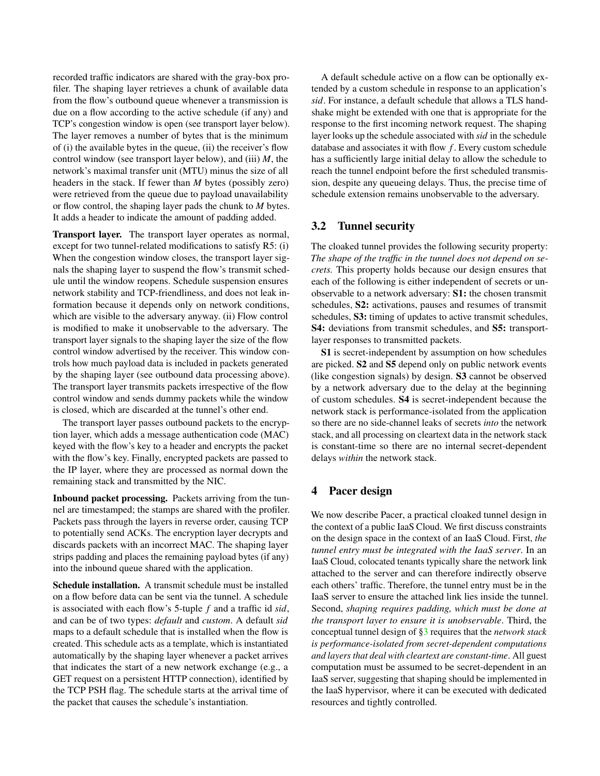recorded traffic indicators are shared with the gray-box profiler. The shaping layer retrieves a chunk of available data from the flow's outbound queue whenever a transmission is due on a flow according to the active schedule (if any) and TCP's congestion window is open (see transport layer below). The layer removes a number of bytes that is the minimum of (i) the available bytes in the queue, (ii) the receiver's flow control window (see transport layer below), and (iii) *M*, the network's maximal transfer unit (MTU) minus the size of all headers in the stack. If fewer than *M* bytes (possibly zero) were retrieved from the queue due to payload unavailability or flow control, the shaping layer pads the chunk to *M* bytes. It adds a header to indicate the amount of padding added.

Transport layer. The transport layer operates as normal, except for two tunnel-related modifications to satisfy R5: (i) When the congestion window closes, the transport layer signals the shaping layer to suspend the flow's transmit schedule until the window reopens. Schedule suspension ensures network stability and TCP-friendliness, and does not leak information because it depends only on network conditions, which are visible to the adversary anyway. (ii) Flow control is modified to make it unobservable to the adversary. The transport layer signals to the shaping layer the size of the flow control window advertised by the receiver. This window controls how much payload data is included in packets generated by the shaping layer (see outbound data processing above). The transport layer transmits packets irrespective of the flow control window and sends dummy packets while the window is closed, which are discarded at the tunnel's other end.

The transport layer passes outbound packets to the encryption layer, which adds a message authentication code (MAC) keyed with the flow's key to a header and encrypts the packet with the flow's key. Finally, encrypted packets are passed to the IP layer, where they are processed as normal down the remaining stack and transmitted by the NIC.

Inbound packet processing. Packets arriving from the tunnel are timestamped; the stamps are shared with the profiler. Packets pass through the layers in reverse order, causing TCP to potentially send ACKs. The encryption layer decrypts and discards packets with an incorrect MAC. The shaping layer strips padding and places the remaining payload bytes (if any) into the inbound queue shared with the application.

Schedule installation. A transmit schedule must be installed on a flow before data can be sent via the tunnel. A schedule is associated with each flow's 5-tuple *f* and a traffic id *sid*, and can be of two types: *default* and *custom*. A default *sid* maps to a default schedule that is installed when the flow is created. This schedule acts as a template, which is instantiated automatically by the shaping layer whenever a packet arrives that indicates the start of a new network exchange (e.g., a GET request on a persistent HTTP connection), identified by the TCP PSH flag. The schedule starts at the arrival time of the packet that causes the schedule's instantiation.

A default schedule active on a flow can be optionally extended by a custom schedule in response to an application's *sid*. For instance, a default schedule that allows a TLS handshake might be extended with one that is appropriate for the response to the first incoming network request. The shaping layer looks up the schedule associated with *sid* in the schedule database and associates it with flow *f* . Every custom schedule has a sufficiently large initial delay to allow the schedule to reach the tunnel endpoint before the first scheduled transmission, despite any queueing delays. Thus, the precise time of schedule extension remains unobservable to the adversary.

## <span id="page-4-1"></span>3.2 Tunnel security

The cloaked tunnel provides the following security property: *The shape of the traffic in the tunnel does not depend on secrets.* This property holds because our design ensures that each of the following is either independent of secrets or unobservable to a network adversary: S1: the chosen transmit schedules, S2: activations, pauses and resumes of transmit schedules, S3: timing of updates to active transmit schedules, S4: deviations from transmit schedules, and S5: transportlayer responses to transmitted packets.

S1 is secret-independent by assumption on how schedules are picked. S2 and S5 depend only on public network events (like congestion signals) by design. S3 cannot be observed by a network adversary due to the delay at the beginning of custom schedules. S4 is secret-independent because the network stack is performance-isolated from the application so there are no side-channel leaks of secrets *into* the network stack, and all processing on cleartext data in the network stack is constant-time so there are no internal secret-dependent delays *within* the network stack.

## <span id="page-4-0"></span>4 Pacer design

We now describe Pacer, a practical cloaked tunnel design in the context of a public IaaS Cloud. We first discuss constraints on the design space in the context of an IaaS Cloud. First, *the tunnel entry must be integrated with the IaaS server*. In an IaaS Cloud, colocated tenants typically share the network link attached to the server and can therefore indirectly observe each others' traffic. Therefore, the tunnel entry must be in the IaaS server to ensure the attached link lies inside the tunnel. Second, *shaping requires padding, which must be done at the transport layer to ensure it is unobservable*. Third, the conceptual tunnel design of [§3](#page-3-0) requires that the *network stack is performance-isolated from secret-dependent computations and layers that deal with cleartext are constant-time*. All guest computation must be assumed to be secret-dependent in an IaaS server, suggesting that shaping should be implemented in the IaaS hypervisor, where it can be executed with dedicated resources and tightly controlled.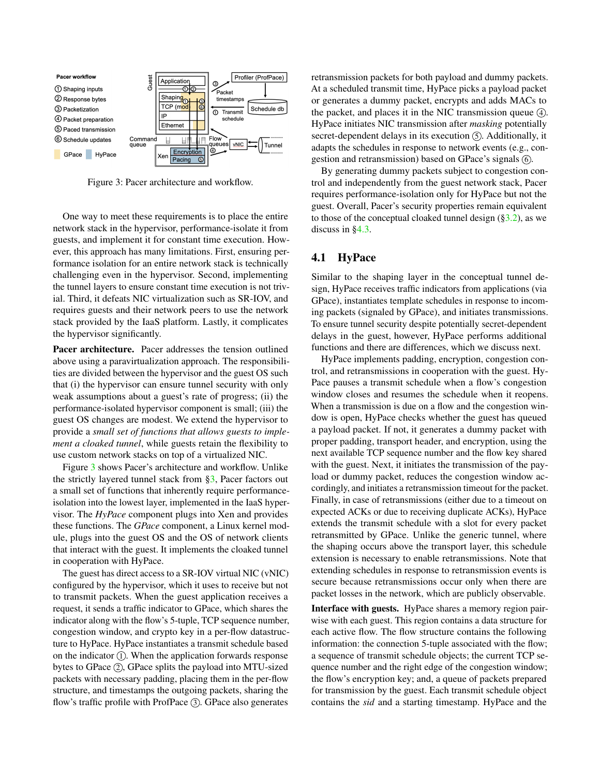<span id="page-5-0"></span>

Figure 3: Pacer architecture and workflow.

One way to meet these requirements is to place the entire network stack in the hypervisor, performance-isolate it from guests, and implement it for constant time execution. However, this approach has many limitations. First, ensuring performance isolation for an entire network stack is technically challenging even in the hypervisor. Second, implementing the tunnel layers to ensure constant time execution is not trivial. Third, it defeats NIC virtualization such as SR-IOV, and requires guests and their network peers to use the network stack provided by the IaaS platform. Lastly, it complicates the hypervisor significantly.

Pacer architecture. Pacer addresses the tension outlined above using a paravirtualization approach. The responsibilities are divided between the hypervisor and the guest OS such that (i) the hypervisor can ensure tunnel security with only weak assumptions about a guest's rate of progress; (ii) the performance-isolated hypervisor component is small; (iii) the guest OS changes are modest. We extend the hypervisor to provide a *small set of functions that allows guests to implement a cloaked tunnel*, while guests retain the flexibility to use custom network stacks on top of a virtualized NIC.

Figure [3](#page-5-0) shows Pacer's architecture and workflow. Unlike the strictly layered tunnel stack from [§3,](#page-3-0) Pacer factors out a small set of functions that inherently require performanceisolation into the lowest layer, implemented in the IaaS hypervisor. The *HyPace* component plugs into Xen and provides these functions. The *GPace* component, a Linux kernel module, plugs into the guest OS and the OS of network clients that interact with the guest. It implements the cloaked tunnel in cooperation with HyPace.

The guest has direct access to a SR-IOV virtual NIC (vNIC) configured by the hypervisor, which it uses to receive but not to transmit packets. When the guest application receives a request, it sends a traffic indicator to GPace, which shares the indicator along with the flow's 5-tuple, TCP sequence number, congestion window, and crypto key in a per-flow datastructure to HyPace. HyPace instantiates a transmit schedule based on the indicator  $(1)$ . When the application forwards response bytes to GPace  $(2)$ , GPace splits the payload into MTU-sized packets with necessary padding, placing them in the per-flow structure, and timestamps the outgoing packets, sharing the flow's traffic profile with ProfPace  $(3)$ . GPace also generates

retransmission packets for both payload and dummy packets. At a scheduled transmit time, HyPace picks a payload packet or generates a dummy packet, encrypts and adds MACs to the packet, and places it in the NIC transmission queue  $(4)$ . HyPace initiates NIC transmission after *masking* potentially secret-dependent delays in its execution  $(5)$ . Additionally, it adapts the schedules in response to network events (e.g., congestion and retransmission) based on GPace's signals  $(6)$ .

By generating dummy packets subject to congestion control and independently from the guest network stack, Pacer requires performance-isolation only for HyPace but not the guest. Overall, Pacer's security properties remain equivalent to those of the conceptual cloaked tunnel design  $(\S3.2)$ , as we discuss in [§4.3.](#page-7-0)

## <span id="page-5-1"></span>4.1 HyPace

Similar to the shaping layer in the conceptual tunnel design, HyPace receives traffic indicators from applications (via GPace), instantiates template schedules in response to incoming packets (signaled by GPace), and initiates transmissions. To ensure tunnel security despite potentially secret-dependent delays in the guest, however, HyPace performs additional functions and there are differences, which we discuss next.

HyPace implements padding, encryption, congestion control, and retransmissions in cooperation with the guest. Hy-Pace pauses a transmit schedule when a flow's congestion window closes and resumes the schedule when it reopens. When a transmission is due on a flow and the congestion window is open, HyPace checks whether the guest has queued a payload packet. If not, it generates a dummy packet with proper padding, transport header, and encryption, using the next available TCP sequence number and the flow key shared with the guest. Next, it initiates the transmission of the payload or dummy packet, reduces the congestion window accordingly, and initiates a retransmission timeout for the packet. Finally, in case of retransmissions (either due to a timeout on expected ACKs or due to receiving duplicate ACKs), HyPace extends the transmit schedule with a slot for every packet retransmitted by GPace. Unlike the generic tunnel, where the shaping occurs above the transport layer, this schedule extension is necessary to enable retransmissions. Note that extending schedules in response to retransmission events is secure because retransmissions occur only when there are packet losses in the network, which are publicly observable.

Interface with guests. HyPace shares a memory region pairwise with each guest. This region contains a data structure for each active flow. The flow structure contains the following information: the connection 5-tuple associated with the flow; a sequence of transmit schedule objects; the current TCP sequence number and the right edge of the congestion window; the flow's encryption key; and, a queue of packets prepared for transmission by the guest. Each transmit schedule object contains the *sid* and a starting timestamp. HyPace and the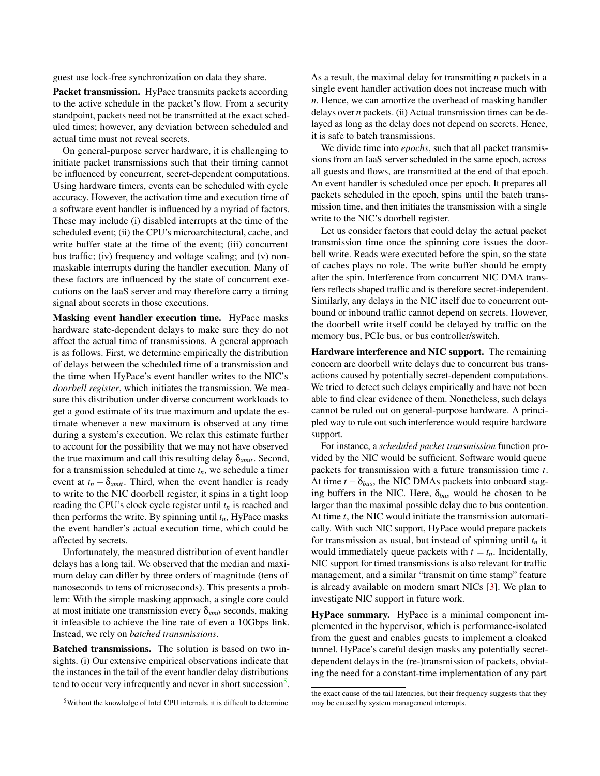guest use lock-free synchronization on data they share.

Packet transmission. HyPace transmits packets according to the active schedule in the packet's flow. From a security standpoint, packets need not be transmitted at the exact scheduled times; however, any deviation between scheduled and actual time must not reveal secrets.

On general-purpose server hardware, it is challenging to initiate packet transmissions such that their timing cannot be influenced by concurrent, secret-dependent computations. Using hardware timers, events can be scheduled with cycle accuracy. However, the activation time and execution time of a software event handler is influenced by a myriad of factors. These may include (i) disabled interrupts at the time of the scheduled event; (ii) the CPU's microarchitectural, cache, and write buffer state at the time of the event; (iii) concurrent bus traffic; (iv) frequency and voltage scaling; and (v) nonmaskable interrupts during the handler execution. Many of these factors are influenced by the state of concurrent executions on the IaaS server and may therefore carry a timing signal about secrets in those executions.

Masking event handler execution time. HyPace masks hardware state-dependent delays to make sure they do not affect the actual time of transmissions. A general approach is as follows. First, we determine empirically the distribution of delays between the scheduled time of a transmission and the time when HyPace's event handler writes to the NIC's *doorbell register*, which initiates the transmission. We measure this distribution under diverse concurrent workloads to get a good estimate of its true maximum and update the estimate whenever a new maximum is observed at any time during a system's execution. We relax this estimate further to account for the possibility that we may not have observed the true maximum and call this resulting delay  $\delta_{xmit}$ . Second, for a transmission scheduled at time *tn*, we schedule a timer event at  $t_n - \delta_{xmit}$ . Third, when the event handler is ready to write to the NIC doorbell register, it spins in a tight loop reading the CPU's clock cycle register until *t<sup>n</sup>* is reached and then performs the write. By spinning until  $t_n$ , HyPace masks the event handler's actual execution time, which could be affected by secrets.

Unfortunately, the measured distribution of event handler delays has a long tail. We observed that the median and maximum delay can differ by three orders of magnitude (tens of nanoseconds to tens of microseconds). This presents a problem: With the simple masking approach, a single core could at most initiate one transmission every δ*xmit* seconds, making it infeasible to achieve the line rate of even a 10Gbps link. Instead, we rely on *batched transmissions*.

Batched transmissions. The solution is based on two insights. (i) Our extensive empirical observations indicate that the instances in the tail of the event handler delay distributions tend to occur very infrequently and never in short succession<sup>[5](#page-6-0)</sup>.

As a result, the maximal delay for transmitting *n* packets in a single event handler activation does not increase much with *n*. Hence, we can amortize the overhead of masking handler delays over *n* packets. (ii) Actual transmission times can be delayed as long as the delay does not depend on secrets. Hence, it is safe to batch transmissions.

We divide time into *epochs*, such that all packet transmissions from an IaaS server scheduled in the same epoch, across all guests and flows, are transmitted at the end of that epoch. An event handler is scheduled once per epoch. It prepares all packets scheduled in the epoch, spins until the batch transmission time, and then initiates the transmission with a single write to the NIC's doorbell register.

Let us consider factors that could delay the actual packet transmission time once the spinning core issues the doorbell write. Reads were executed before the spin, so the state of caches plays no role. The write buffer should be empty after the spin. Interference from concurrent NIC DMA transfers reflects shaped traffic and is therefore secret-independent. Similarly, any delays in the NIC itself due to concurrent outbound or inbound traffic cannot depend on secrets. However, the doorbell write itself could be delayed by traffic on the memory bus, PCIe bus, or bus controller/switch.

Hardware interference and NIC support. The remaining concern are doorbell write delays due to concurrent bus transactions caused by potentially secret-dependent computations. We tried to detect such delays empirically and have not been able to find clear evidence of them. Nonetheless, such delays cannot be ruled out on general-purpose hardware. A principled way to rule out such interference would require hardware support.

For instance, a *scheduled packet transmission* function provided by the NIC would be sufficient. Software would queue packets for transmission with a future transmission time *t*. At time  $t - \delta_{bus}$ , the NIC DMAs packets into onboard staging buffers in the NIC. Here, δ*bus* would be chosen to be larger than the maximal possible delay due to bus contention. At time *t*, the NIC would initiate the transmission automatically. With such NIC support, HyPace would prepare packets for transmission as usual, but instead of spinning until *t<sup>n</sup>* it would immediately queue packets with  $t = t_n$ . Incidentally, NIC support for timed transmissions is also relevant for traffic management, and a similar "transmit on time stamp" feature is already available on modern smart NICs [\[3\]](#page-14-8). We plan to investigate NIC support in future work.

HyPace summary. HyPace is a minimal component implemented in the hypervisor, which is performance-isolated from the guest and enables guests to implement a cloaked tunnel. HyPace's careful design masks any potentially secretdependent delays in the (re-)transmission of packets, obviating the need for a constant-time implementation of any part

<span id="page-6-0"></span><sup>5</sup>Without the knowledge of Intel CPU internals, it is difficult to determine

the exact cause of the tail latencies, but their frequency suggests that they may be caused by system management interrupts.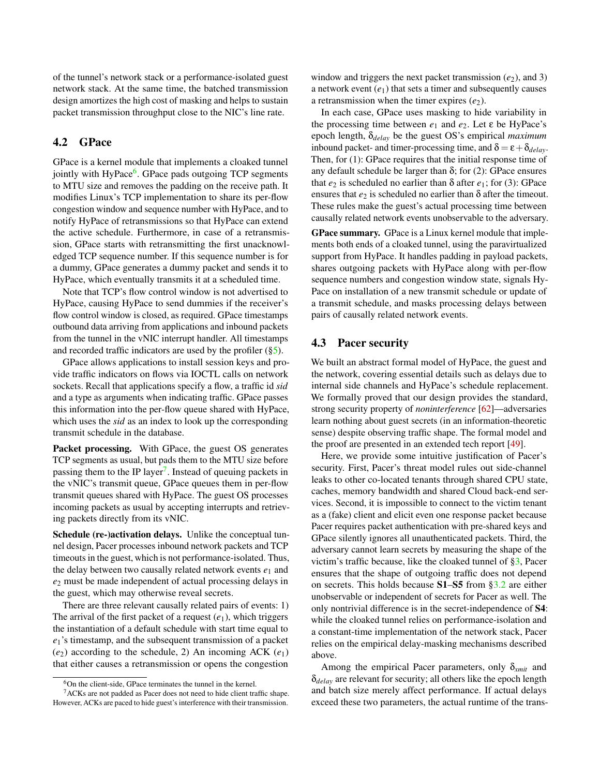of the tunnel's network stack or a performance-isolated guest network stack. At the same time, the batched transmission design amortizes the high cost of masking and helps to sustain packet transmission throughput close to the NIC's line rate.

## <span id="page-7-3"></span>4.2 GPace

GPace is a kernel module that implements a cloaked tunnel jointly with HyPace<sup>[6](#page-7-1)</sup>. GPace pads outgoing TCP segments to MTU size and removes the padding on the receive path. It modifies Linux's TCP implementation to share its per-flow congestion window and sequence number with HyPace, and to notify HyPace of retransmissions so that HyPace can extend the active schedule. Furthermore, in case of a retransmission, GPace starts with retransmitting the first unacknowledged TCP sequence number. If this sequence number is for a dummy, GPace generates a dummy packet and sends it to HyPace, which eventually transmits it at a scheduled time.

Note that TCP's flow control window is not advertised to HyPace, causing HyPace to send dummies if the receiver's flow control window is closed, as required. GPace timestamps outbound data arriving from applications and inbound packets from the tunnel in the vNIC interrupt handler. All timestamps and recorded traffic indicators are used by the profiler ([§5\)](#page-8-0).

GPace allows applications to install session keys and provide traffic indicators on flows via IOCTL calls on network sockets. Recall that applications specify a flow, a traffic id *sid* and a type as arguments when indicating traffic. GPace passes this information into the per-flow queue shared with HyPace, which uses the *sid* as an index to look up the corresponding transmit schedule in the database.

Packet processing. With GPace, the guest OS generates TCP segments as usual, but pads them to the MTU size before passing them to the IP layer<sup>[7](#page-7-2)</sup>. Instead of queuing packets in the vNIC's transmit queue, GPace queues them in per-flow transmit queues shared with HyPace. The guest OS processes incoming packets as usual by accepting interrupts and retrieving packets directly from its vNIC.

Schedule (re-)activation delays. Unlike the conceptual tunnel design, Pacer processes inbound network packets and TCP timeouts in the guest, which is not performance-isolated. Thus, the delay between two causally related network events  $e_1$  and *e*<sup>2</sup> must be made independent of actual processing delays in the guest, which may otherwise reveal secrets.

There are three relevant causally related pairs of events: 1) The arrival of the first packet of a request  $(e_1)$ , which triggers the instantiation of a default schedule with start time equal to *e*1's timestamp, and the subsequent transmission of a packet  $(e_2)$  according to the schedule, 2) An incoming ACK  $(e_1)$ that either causes a retransmission or opens the congestion

window and triggers the next packet transmission  $(e_2)$ , and 3) a network event  $(e_1)$  that sets a timer and subsequently causes a retransmission when the timer expires  $(e_2)$ .

In each case, GPace uses masking to hide variability in the processing time between *e*<sup>1</sup> and *e*2. Let ε be HyPace's epoch length, δ*delay* be the guest OS's empirical *maximum* inbound packet- and timer-processing time, and  $\delta = \varepsilon + \delta_{delay}$ . Then, for (1): GPace requires that the initial response time of any default schedule be larger than  $\delta$ ; for (2): GPace ensures that  $e_2$  is scheduled no earlier than δ after  $e_1$ ; for (3): GPace ensures that  $e_2$  is scheduled no earlier than  $\delta$  after the timeout. These rules make the guest's actual processing time between causally related network events unobservable to the adversary.

GPace summary. GPace is a Linux kernel module that implements both ends of a cloaked tunnel, using the paravirtualized support from HyPace. It handles padding in payload packets, shares outgoing packets with HyPace along with per-flow sequence numbers and congestion window state, signals Hy-Pace on installation of a new transmit schedule or update of a transmit schedule, and masks processing delays between pairs of causally related network events.

## <span id="page-7-0"></span>4.3 Pacer security

We built an abstract formal model of HyPace, the guest and the network, covering essential details such as delays due to internal side channels and HyPace's schedule replacement. We formally proved that our design provides the standard, strong security property of *noninterference* [\[62\]](#page-17-15)—adversaries learn nothing about guest secrets (in an information-theoretic sense) despite observing traffic shape. The formal model and the proof are presented in an extended tech report [\[49\]](#page-16-8).

Here, we provide some intuitive justification of Pacer's security. First, Pacer's threat model rules out side-channel leaks to other co-located tenants through shared CPU state, caches, memory bandwidth and shared Cloud back-end services. Second, it is impossible to connect to the victim tenant as a (fake) client and elicit even one response packet because Pacer requires packet authentication with pre-shared keys and GPace silently ignores all unauthenticated packets. Third, the adversary cannot learn secrets by measuring the shape of the victim's traffic because, like the cloaked tunnel of [§3,](#page-3-0) Pacer ensures that the shape of outgoing traffic does not depend on secrets. This holds because S1–S5 from [§3.2](#page-4-1) are either unobservable or independent of secrets for Pacer as well. The only nontrivial difference is in the secret-independence of S4: while the cloaked tunnel relies on performance-isolation and a constant-time implementation of the network stack, Pacer relies on the empirical delay-masking mechanisms described above.

Among the empirical Pacer parameters, only δ*xmit* and δ*delay* are relevant for security; all others like the epoch length and batch size merely affect performance. If actual delays exceed these two parameters, the actual runtime of the trans-

<span id="page-7-2"></span><span id="page-7-1"></span><sup>6</sup>On the client-side, GPace terminates the tunnel in the kernel.

 $7ACKs$  are not padded as Pacer does not need to hide client traffic shape. However, ACKs are paced to hide guest's interference with their transmission.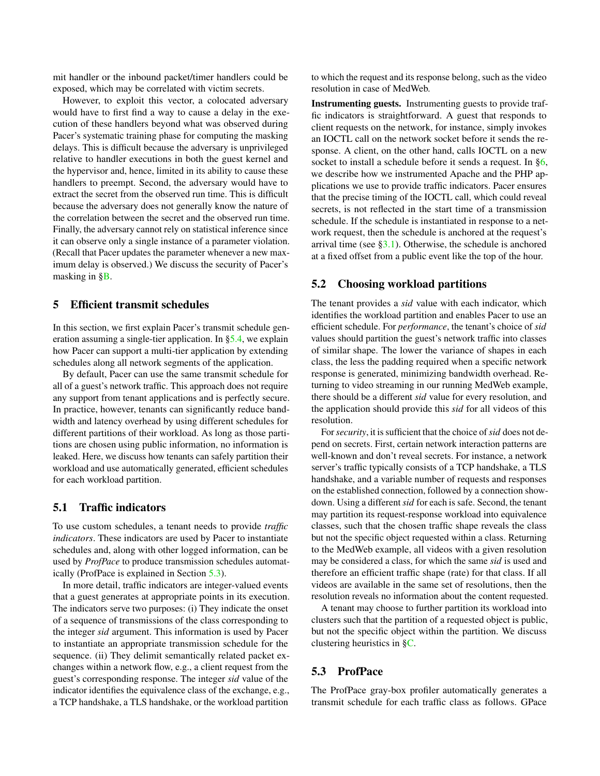mit handler or the inbound packet/timer handlers could be exposed, which may be correlated with victim secrets.

However, to exploit this vector, a colocated adversary would have to first find a way to cause a delay in the execution of these handlers beyond what was observed during Pacer's systematic training phase for computing the masking delays. This is difficult because the adversary is unprivileged relative to handler executions in both the guest kernel and the hypervisor and, hence, limited in its ability to cause these handlers to preempt. Second, the adversary would have to extract the secret from the observed run time. This is difficult because the adversary does not generally know the nature of the correlation between the secret and the observed run time. Finally, the adversary cannot rely on statistical inference since it can observe only a single instance of a parameter violation. (Recall that Pacer updates the parameter whenever a new maximum delay is observed.) We discuss the security of Pacer's masking in  $\S$ .

#### <span id="page-8-0"></span>5 Efficient transmit schedules

In this section, we first explain Pacer's transmit schedule generation assuming a single-tier application. In [§5.4,](#page-9-1) we explain how Pacer can support a multi-tier application by extending schedules along all network segments of the application.

By default, Pacer can use the same transmit schedule for all of a guest's network traffic. This approach does not require any support from tenant applications and is perfectly secure. In practice, however, tenants can significantly reduce bandwidth and latency overhead by using different schedules for different partitions of their workload. As long as those partitions are chosen using public information, no information is leaked. Here, we discuss how tenants can safely partition their workload and use automatically generated, efficient schedules for each workload partition.

## 5.1 Traffic indicators

To use custom schedules, a tenant needs to provide *traffic indicators*. These indicators are used by Pacer to instantiate schedules and, along with other logged information, can be used by *ProfPace* to produce transmission schedules automatically (ProfPace is explained in Section [5.3\)](#page-8-1).

In more detail, traffic indicators are integer-valued events that a guest generates at appropriate points in its execution. The indicators serve two purposes: (i) They indicate the onset of a sequence of transmissions of the class corresponding to the integer *sid* argument. This information is used by Pacer to instantiate an appropriate transmission schedule for the sequence. (ii) They delimit semantically related packet exchanges within a network flow, e.g., a client request from the guest's corresponding response. The integer *sid* value of the indicator identifies the equivalence class of the exchange, e.g., a TCP handshake, a TLS handshake, or the workload partition

to which the request and its response belong, such as the video resolution in case of MedWeb.

Instrumenting guests. Instrumenting guests to provide traffic indicators is straightforward. A guest that responds to client requests on the network, for instance, simply invokes an IOCTL call on the network socket before it sends the response. A client, on the other hand, calls IOCTL on a new socket to install a schedule before it sends a request. In  $\S6$ , we describe how we instrumented Apache and the PHP applications we use to provide traffic indicators. Pacer ensures that the precise timing of the IOCTL call, which could reveal secrets, is not reflected in the start time of a transmission schedule. If the schedule is instantiated in response to a network request, then the schedule is anchored at the request's arrival time (see  $\S3.1$ ). Otherwise, the schedule is anchored at a fixed offset from a public event like the top of the hour.

#### 5.2 Choosing workload partitions

The tenant provides a *sid* value with each indicator, which identifies the workload partition and enables Pacer to use an efficient schedule. For *performance*, the tenant's choice of *sid* values should partition the guest's network traffic into classes of similar shape. The lower the variance of shapes in each class, the less the padding required when a specific network response is generated, minimizing bandwidth overhead. Returning to video streaming in our running MedWeb example, there should be a different *sid* value for every resolution, and the application should provide this *sid* for all videos of this resolution.

For*security*, it is sufficient that the choice of*sid* does not depend on secrets. First, certain network interaction patterns are well-known and don't reveal secrets. For instance, a network server's traffic typically consists of a TCP handshake, a TLS handshake, and a variable number of requests and responses on the established connection, followed by a connection showdown. Using a different *sid* for each is safe. Second, the tenant may partition its request-response workload into equivalence classes, such that the chosen traffic shape reveals the class but not the specific object requested within a class. Returning to the MedWeb example, all videos with a given resolution may be considered a class, for which the same *sid* is used and therefore an efficient traffic shape (rate) for that class. If all videos are available in the same set of resolutions, then the resolution reveals no information about the content requested.

A tenant may choose to further partition its workload into clusters such that the partition of a requested object is public, but not the specific object within the partition. We discuss clustering heuristics in [§C.](#page-19-0)

#### <span id="page-8-1"></span>5.3 ProfPace

The ProfPace gray-box profiler automatically generates a transmit schedule for each traffic class as follows. GPace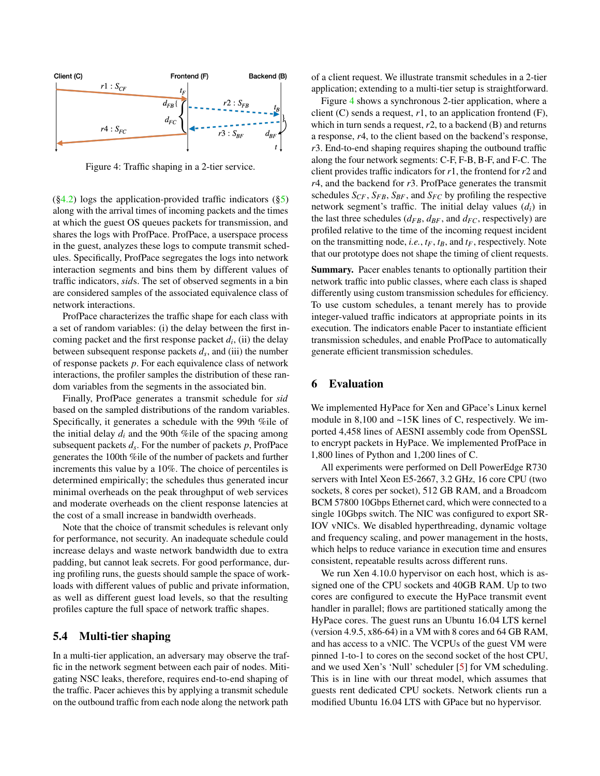<span id="page-9-2"></span>

Figure 4: Traffic shaping in a 2-tier service.

 $(\S4.2)$  logs the application-provided traffic indicators  $(\S5)$ along with the arrival times of incoming packets and the times at which the guest OS queues packets for transmission, and shares the logs with ProfPace. ProfPace, a userspace process in the guest, analyzes these logs to compute transmit schedules. Specifically, ProfPace segregates the logs into network interaction segments and bins them by different values of traffic indicators, *sid*s. The set of observed segments in a bin are considered samples of the associated equivalence class of network interactions.

ProfPace characterizes the traffic shape for each class with a set of random variables: (i) the delay between the first incoming packet and the first response packet  $d_i$ , (ii) the delay between subsequent response packets *d<sup>s</sup>* , and (iii) the number of response packets *p*. For each equivalence class of network interactions, the profiler samples the distribution of these random variables from the segments in the associated bin.

Finally, ProfPace generates a transmit schedule for *sid* based on the sampled distributions of the random variables. Specifically, it generates a schedule with the 99th %ile of the initial delay  $d_i$  and the 90th %ile of the spacing among subsequent packets *d<sup>s</sup>* . For the number of packets *p*, ProfPace generates the 100th %ile of the number of packets and further increments this value by a 10%. The choice of percentiles is determined empirically; the schedules thus generated incur minimal overheads on the peak throughput of web services and moderate overheads on the client response latencies at the cost of a small increase in bandwidth overheads.

Note that the choice of transmit schedules is relevant only for performance, not security. An inadequate schedule could increase delays and waste network bandwidth due to extra padding, but cannot leak secrets. For good performance, during profiling runs, the guests should sample the space of workloads with different values of public and private information, as well as different guest load levels, so that the resulting profiles capture the full space of network traffic shapes.

## <span id="page-9-1"></span>5.4 Multi-tier shaping

In a multi-tier application, an adversary may observe the traffic in the network segment between each pair of nodes. Mitigating NSC leaks, therefore, requires end-to-end shaping of the traffic. Pacer achieves this by applying a transmit schedule on the outbound traffic from each node along the network path

of a client request. We illustrate transmit schedules in a 2-tier application; extending to a multi-tier setup is straightforward.

Figure [4](#page-9-2) shows a synchronous 2-tier application, where a client  $(C)$  sends a request,  $r1$ , to an application frontend  $(F)$ , which in turn sends a request, *r*2, to a backend (B) and returns a response, *r*4, to the client based on the backend's response, *r*3. End-to-end shaping requires shaping the outbound traffic along the four network segments: C-F, F-B, B-F, and F-C. The client provides traffic indicators for *r*1, the frontend for *r*2 and *r*4, and the backend for *r*3. ProfPace generates the transmit schedules  $S_{CF}$ ,  $S_{FB}$ ,  $S_{BF}$ , and  $S_{FC}$  by profiling the respective network segment's traffic. The initial delay values (*di*) in the last three schedules ( $d_{FB}$ ,  $d_{BF}$ , and  $d_{FC}$ , respectively) are profiled relative to the time of the incoming request incident on the transmitting node, *i.e.*,  $t_F$ ,  $t_B$ , and  $t_F$ , respectively. Note that our prototype does not shape the timing of client requests.

Summary. Pacer enables tenants to optionally partition their network traffic into public classes, where each class is shaped differently using custom transmission schedules for efficiency. To use custom schedules, a tenant merely has to provide integer-valued traffic indicators at appropriate points in its execution. The indicators enable Pacer to instantiate efficient transmission schedules, and enable ProfPace to automatically generate efficient transmission schedules.

### <span id="page-9-0"></span>6 Evaluation

We implemented HyPace for Xen and GPace's Linux kernel module in 8,100 and ~15K lines of C, respectively. We imported 4,458 lines of AESNI assembly code from OpenSSL to encrypt packets in HyPace. We implemented ProfPace in 1,800 lines of Python and 1,200 lines of C.

All experiments were performed on Dell PowerEdge R730 servers with Intel Xeon E5-2667, 3.2 GHz, 16 core CPU (two sockets, 8 cores per socket), 512 GB RAM, and a Broadcom BCM 57800 10Gbps Ethernet card, which were connected to a single 10Gbps switch. The NIC was configured to export SR-IOV vNICs. We disabled hyperthreading, dynamic voltage and frequency scaling, and power management in the hosts, which helps to reduce variance in execution time and ensures consistent, repeatable results across different runs.

We run Xen 4.10.0 hypervisor on each host, which is assigned one of the CPU sockets and 40GB RAM. Up to two cores are configured to execute the HyPace transmit event handler in parallel; flows are partitioned statically among the HyPace cores. The guest runs an Ubuntu 16.04 LTS kernel (version 4.9.5, x86-64) in a VM with 8 cores and 64 GB RAM, and has access to a vNIC. The VCPUs of the guest VM were pinned 1-to-1 to cores on the second socket of the host CPU, and we used Xen's 'Null' scheduler [\[5\]](#page-14-9) for VM scheduling. This is in line with our threat model, which assumes that guests rent dedicated CPU sockets. Network clients run a modified Ubuntu 16.04 LTS with GPace but no hypervisor.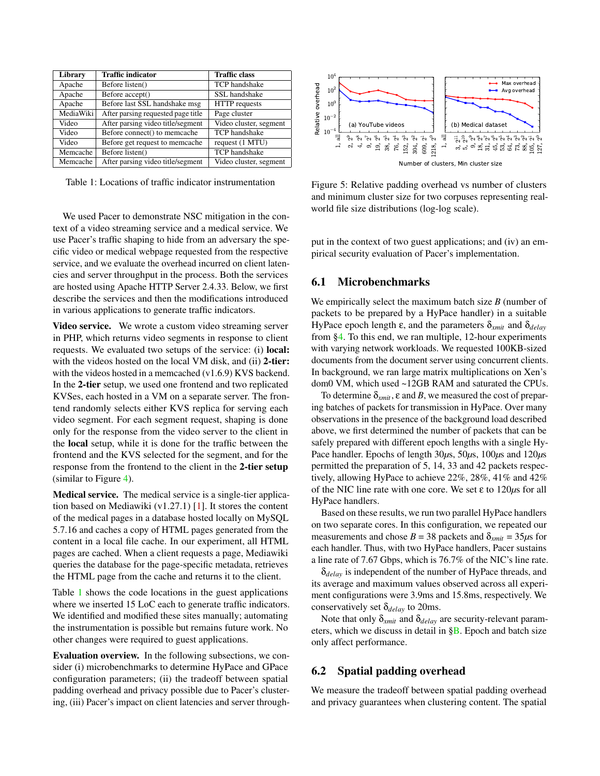<span id="page-10-0"></span>

| Library   | <b>Traffic indicator</b>           | <b>Traffic class</b>   |  |
|-----------|------------------------------------|------------------------|--|
| Apache    | Before listen()                    | TCP handshake          |  |
| Apache    | Before accept()                    | SSL handshake          |  |
| Apache    | Before last SSL handshake msg      | HTTP requests          |  |
| MediaWiki | After parsing requested page title | Page cluster           |  |
| Video     | After parsing video title/segment  | Video cluster, segment |  |
| Video     | Before connect() to memcache       | <b>TCP</b> handshake   |  |
| Video     | Before get request to memcache     | request (1 MTU)        |  |
| Memcache  | Before listen()                    | <b>TCP</b> handshake   |  |
| Memcache  | After parsing video title/segment  | Video cluster, segment |  |

Table 1: Locations of traffic indicator instrumentation

We used Pacer to demonstrate NSC mitigation in the context of a video streaming service and a medical service. We use Pacer's traffic shaping to hide from an adversary the specific video or medical webpage requested from the respective service, and we evaluate the overhead incurred on client latencies and server throughput in the process. Both the services are hosted using Apache HTTP Server 2.4.33. Below, we first describe the services and then the modifications introduced in various applications to generate traffic indicators.

Video service. We wrote a custom video streaming server in PHP, which returns video segments in response to client requests. We evaluated two setups of the service: (i) local: with the videos hosted on the local VM disk, and (ii) 2-tier: with the videos hosted in a memcached (v1.6.9) KVS backend. In the 2-tier setup, we used one frontend and two replicated KVSes, each hosted in a VM on a separate server. The frontend randomly selects either KVS replica for serving each video segment. For each segment request, shaping is done only for the response from the video server to the client in the local setup, while it is done for the traffic between the frontend and the KVS selected for the segment, and for the response from the frontend to the client in the 2-tier setup (similar to Figure [4\)](#page-9-2).

Medical service. The medical service is a single-tier application based on Mediawiki (v1.27.1) [\[1\]](#page-14-10). It stores the content of the medical pages in a database hosted locally on MySQL 5.7.16 and caches a copy of HTML pages generated from the content in a local file cache. In our experiment, all HTML pages are cached. When a client requests a page, Mediawiki queries the database for the page-specific metadata, retrieves the HTML page from the cache and returns it to the client.

Table [1](#page-10-0) shows the code locations in the guest applications where we inserted 15 LoC each to generate traffic indicators. We identified and modified these sites manually; automating the instrumentation is possible but remains future work. No other changes were required to guest applications.

Evaluation overview. In the following subsections, we consider (i) microbenchmarks to determine HyPace and GPace configuration parameters; (ii) the tradeoff between spatial padding overhead and privacy possible due to Pacer's clustering, (iii) Pacer's impact on client latencies and server through-

<span id="page-10-1"></span>

Figure 5: Relative padding overhead vs number of clusters and minimum cluster size for two corpuses representing realworld file size distributions (log-log scale).

put in the context of two guest applications; and (iv) an empirical security evaluation of Pacer's implementation.

## <span id="page-10-3"></span>6.1 Microbenchmarks

We empirically select the maximum batch size *B* (number of packets to be prepared by a HyPace handler) in a suitable HyPace epoch length ε, and the parameters δ*xmit* and δ*delay* from [§4.](#page-4-0) To this end, we ran multiple, 12-hour experiments with varying network workloads. We requested 100KB-sized documents from the document server using concurrent clients. In background, we ran large matrix multiplications on Xen's dom0 VM, which used ~12GB RAM and saturated the CPUs.

To determine  $\delta_{xmit}$ ,  $\varepsilon$  and  $B$ , we measured the cost of preparing batches of packets for transmission in HyPace. Over many observations in the presence of the background load described above, we first determined the number of packets that can be safely prepared with different epoch lengths with a single Hy-Pace handler. Epochs of length 30*µ*s, 50*µ*s, 100*µ*s and 120*µ*s permitted the preparation of 5, 14, 33 and 42 packets respectively, allowing HyPace to achieve 22%, 28%, 41% and 42% of the NIC line rate with one core. We set ε to 120*µ*s for all HyPace handlers.

Based on these results, we run two parallel HyPace handlers on two separate cores. In this configuration, we repeated our measurements and chose  $B = 38$  packets and  $\delta_{xmit} = 35 \mu s$  for each handler. Thus, with two HyPace handlers, Pacer sustains a line rate of 7.67 Gbps, which is 76.7% of the NIC's line rate.

δ*delay* is independent of the number of HyPace threads, and its average and maximum values observed across all experiment configurations were 3.9ms and 15.8ms, respectively. We conservatively set δ*delay* to 20ms.

Note that only δ*xmit* and δ*delay* are security-relevant parameters, which we discuss in detail in  $\S$ B. Epoch and batch size only affect performance.

## <span id="page-10-2"></span>6.2 Spatial padding overhead

We measure the tradeoff between spatial padding overhead and privacy guarantees when clustering content. The spatial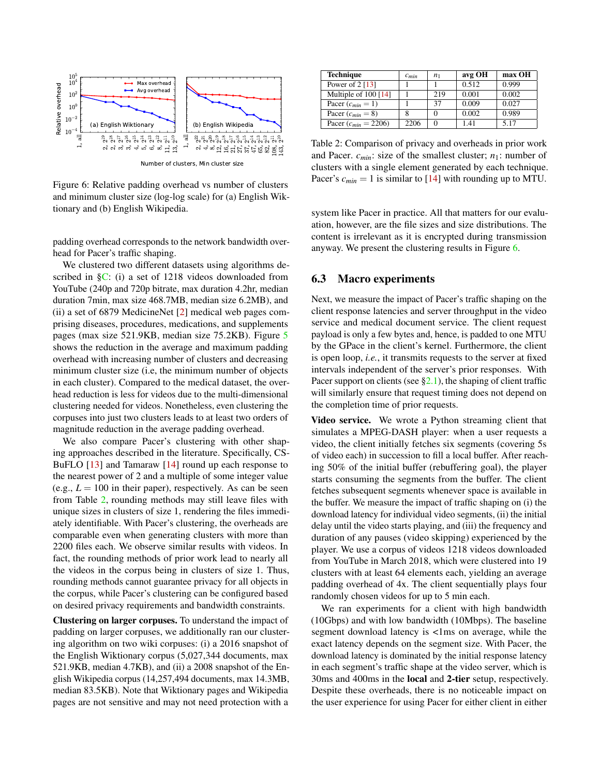<span id="page-11-1"></span>

Number of clusters, Min cluster size

Figure 6: Relative padding overhead vs number of clusters and minimum cluster size (log-log scale) for (a) English Wiktionary and (b) English Wikipedia.

padding overhead corresponds to the network bandwidth overhead for Pacer's traffic shaping.

We clustered two different datasets using algorithms described in [§C:](#page-19-0) (i) a set of 1218 videos downloaded from YouTube (240p and 720p bitrate, max duration 4.2hr, median duration 7min, max size 468.7MB, median size 6.2MB), and (ii) a set of 6879 MedicineNet [\[2\]](#page-14-11) medical web pages comprising diseases, procedures, medications, and supplements pages (max size 521.9KB, median size 75.2KB). Figure [5](#page-10-1) shows the reduction in the average and maximum padding overhead with increasing number of clusters and decreasing minimum cluster size (i.e, the minimum number of objects in each cluster). Compared to the medical dataset, the overhead reduction is less for videos due to the multi-dimensional clustering needed for videos. Nonetheless, even clustering the corpuses into just two clusters leads to at least two orders of magnitude reduction in the average padding overhead.

We also compare Pacer's clustering with other shaping approaches described in the literature. Specifically, CS-BuFLO [\[13\]](#page-14-5) and Tamaraw [\[14\]](#page-14-12) round up each response to the nearest power of 2 and a multiple of some integer value (e.g.,  $L = 100$  in their paper), respectively. As can be seen from Table [2,](#page-11-0) rounding methods may still leave files with unique sizes in clusters of size 1, rendering the files immediately identifiable. With Pacer's clustering, the overheads are comparable even when generating clusters with more than 2200 files each. We observe similar results with videos. In fact, the rounding methods of prior work lead to nearly all the videos in the corpus being in clusters of size 1. Thus, rounding methods cannot guarantee privacy for all objects in the corpus, while Pacer's clustering can be configured based on desired privacy requirements and bandwidth constraints.

Clustering on larger corpuses. To understand the impact of padding on larger corpuses, we additionally ran our clustering algorithm on two wiki corpuses: (i) a 2016 snapshot of the English Wiktionary corpus (5,027,344 documents, max 521.9KB, median 4.7KB), and (ii) a 2008 snapshot of the English Wikipedia corpus (14,257,494 documents, max 14.3MB, median 83.5KB). Note that Wiktionary pages and Wikipedia pages are not sensitive and may not need protection with a

<span id="page-11-0"></span>

| <b>Technique</b>         | $c_{min}$ | n <sub>1</sub> | avg OH | max OH |
|--------------------------|-----------|----------------|--------|--------|
| Power of 2 [13]          |           |                | 0.512  | 0.999  |
| Multiple of 100 [14]     |           | 219            | 0.001  | 0.002  |
| Pacer $(c_{min} = 1)$    |           | 37             | 0.009  | 0.027  |
| Pacer $(c_{min} = 8)$    |           |                | 0.002  | 0.989  |
| Pacer $(c_{min} = 2206)$ | 2206      |                | 141    | 5.17   |

Table 2: Comparison of privacy and overheads in prior work and Pacer.  $c_{min}$ : size of the smallest cluster;  $n_1$ : number of clusters with a single element generated by each technique. Pacer's  $c_{min} = 1$  is similar to [\[14\]](#page-14-12) with rounding up to MTU.

system like Pacer in practice. All that matters for our evaluation, however, are the file sizes and size distributions. The content is irrelevant as it is encrypted during transmission anyway. We present the clustering results in Figure [6.](#page-11-1)

#### <span id="page-11-2"></span>6.3 Macro experiments

Next, we measure the impact of Pacer's traffic shaping on the client response latencies and server throughput in the video service and medical document service. The client request payload is only a few bytes and, hence, is padded to one MTU by the GPace in the client's kernel. Furthermore, the client is open loop, *i.e.*, it transmits requests to the server at fixed intervals independent of the server's prior responses. With Pacer support on clients (see  $\S2.1$ ), the shaping of client traffic will similarly ensure that request timing does not depend on the completion time of prior requests.

Video service. We wrote a Python streaming client that simulates a MPEG-DASH player: when a user requests a video, the client initially fetches six segments (covering 5s of video each) in succession to fill a local buffer. After reaching 50% of the initial buffer (rebuffering goal), the player starts consuming the segments from the buffer. The client fetches subsequent segments whenever space is available in the buffer. We measure the impact of traffic shaping on (i) the download latency for individual video segments, (ii) the initial delay until the video starts playing, and (iii) the frequency and duration of any pauses (video skipping) experienced by the player. We use a corpus of videos 1218 videos downloaded from YouTube in March 2018, which were clustered into 19 clusters with at least 64 elements each, yielding an average padding overhead of 4x. The client sequentially plays four randomly chosen videos for up to 5 min each.

We ran experiments for a client with high bandwidth (10Gbps) and with low bandwidth (10Mbps). The baseline segment download latency is <1ms on average, while the exact latency depends on the segment size. With Pacer, the download latency is dominated by the initial response latency in each segment's traffic shape at the video server, which is 30ms and 400ms in the local and 2-tier setup, respectively. Despite these overheads, there is no noticeable impact on the user experience for using Pacer for either client in either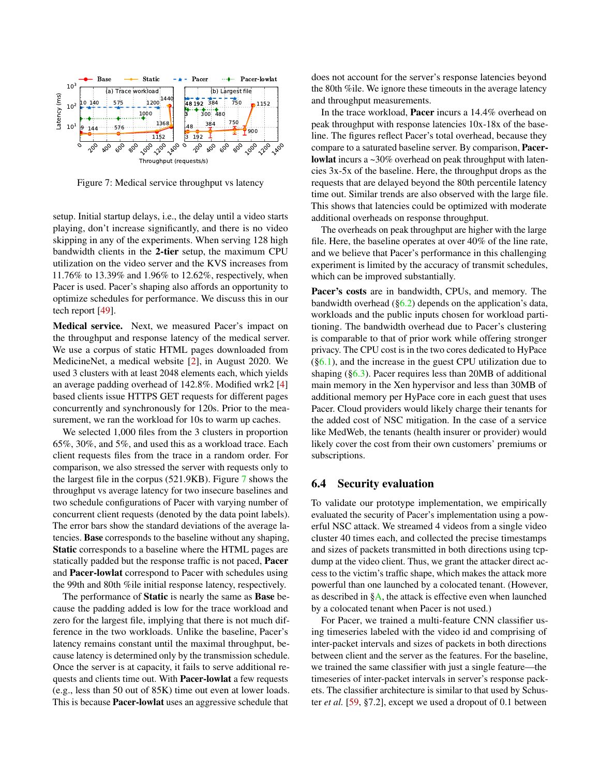<span id="page-12-0"></span>

Figure 7: Medical service throughput vs latency

setup. Initial startup delays, i.e., the delay until a video starts playing, don't increase significantly, and there is no video skipping in any of the experiments. When serving 128 high bandwidth clients in the 2-tier setup, the maximum CPU utilization on the video server and the KVS increases from 11.76% to 13.39% and 1.96% to 12.62%, respectively, when Pacer is used. Pacer's shaping also affords an opportunity to optimize schedules for performance. We discuss this in our tech report [\[49\]](#page-16-8).

Medical service. Next, we measured Pacer's impact on the throughput and response latency of the medical server. We use a corpus of static HTML pages downloaded from MedicineNet, a medical website [\[2\]](#page-14-11), in August 2020. We used 3 clusters with at least 2048 elements each, which yields an average padding overhead of 142.8%. Modified wrk2 [\[4\]](#page-14-13) based clients issue HTTPS GET requests for different pages concurrently and synchronously for 120s. Prior to the measurement, we ran the workload for 10s to warm up caches.

We selected 1,000 files from the 3 clusters in proportion 65%, 30%, and 5%, and used this as a workload trace. Each client requests files from the trace in a random order. For comparison, we also stressed the server with requests only to the largest file in the corpus (521.9KB). Figure [7](#page-12-0) shows the throughput vs average latency for two insecure baselines and two schedule configurations of Pacer with varying number of concurrent client requests (denoted by the data point labels). The error bars show the standard deviations of the average latencies. Base corresponds to the baseline without any shaping, Static corresponds to a baseline where the HTML pages are statically padded but the response traffic is not paced, Pacer and Pacer-lowlat correspond to Pacer with schedules using the 99th and 80th %ile initial response latency, respectively.

The performance of Static is nearly the same as Base because the padding added is low for the trace workload and zero for the largest file, implying that there is not much difference in the two workloads. Unlike the baseline, Pacer's latency remains constant until the maximal throughput, because latency is determined only by the transmission schedule. Once the server is at capacity, it fails to serve additional requests and clients time out. With Pacer-lowlat a few requests (e.g., less than 50 out of 85K) time out even at lower loads. This is because Pacer-lowlat uses an aggressive schedule that

does not account for the server's response latencies beyond the 80th %ile. We ignore these timeouts in the average latency and throughput measurements.

In the trace workload, Pacer incurs a 14.4% overhead on peak throughput with response latencies 10x-18x of the baseline. The figures reflect Pacer's total overhead, because they compare to a saturated baseline server. By comparison, Pacerlowlat incurs a ~30% overhead on peak throughput with latencies 3x-5x of the baseline. Here, the throughput drops as the requests that are delayed beyond the 80th percentile latency time out. Similar trends are also observed with the large file. This shows that latencies could be optimized with moderate additional overheads on response throughput.

The overheads on peak throughput are higher with the large file. Here, the baseline operates at over 40% of the line rate, and we believe that Pacer's performance in this challenging experiment is limited by the accuracy of transmit schedules, which can be improved substantially.

Pacer's costs are in bandwidth, CPUs, and memory. The bandwidth overhead  $(\S6.2)$  depends on the application's data, workloads and the public inputs chosen for workload partitioning. The bandwidth overhead due to Pacer's clustering is comparable to that of prior work while offering stronger privacy. The CPU cost is in the two cores dedicated to HyPace  $(\S6.1)$ , and the increase in the guest CPU utilization due to shaping ([§6.3\)](#page-11-2). Pacer requires less than 20MB of additional main memory in the Xen hypervisor and less than 30MB of additional memory per HyPace core in each guest that uses Pacer. Cloud providers would likely charge their tenants for the added cost of NSC mitigation. In the case of a service like MedWeb, the tenants (health insurer or provider) would likely cover the cost from their own customers' premiums or subscriptions.

#### 6.4 Security evaluation

To validate our prototype implementation, we empirically evaluated the security of Pacer's implementation using a powerful NSC attack. We streamed 4 videos from a single video cluster 40 times each, and collected the precise timestamps and sizes of packets transmitted in both directions using tcpdump at the video client. Thus, we grant the attacker direct access to the victim's traffic shape, which makes the attack more powerful than one launched by a colocated tenant. (However, as described in  $\S$ A, the attack is effective even when launched by a colocated tenant when Pacer is not used.)

For Pacer, we trained a multi-feature CNN classifier using timeseries labeled with the video id and comprising of inter-packet intervals and sizes of packets in both directions between client and the server as the features. For the baseline, we trained the same classifier with just a single feature—the timeseries of inter-packet intervals in server's response packets. The classifier architecture is similar to that used by Schuster *et al.* [\[59,](#page-16-4) §7.2], except we used a dropout of 0.1 between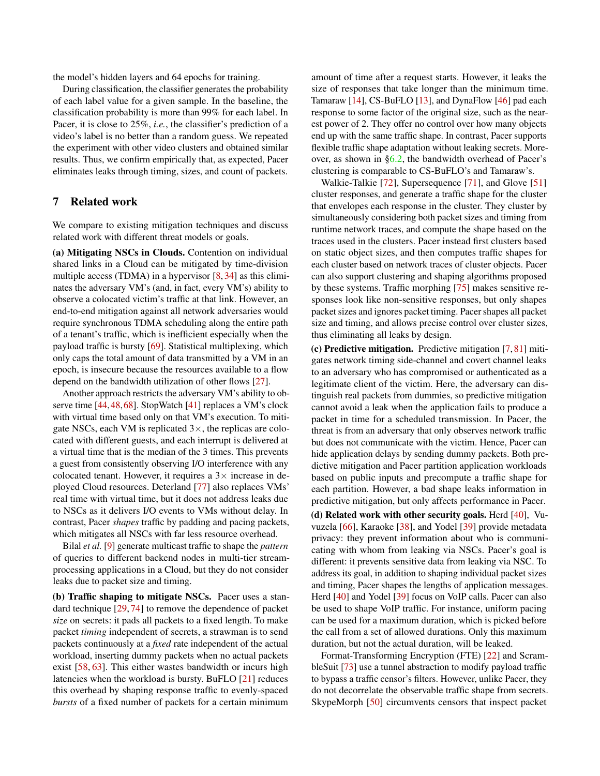the model's hidden layers and 64 epochs for training.

During classification, the classifier generates the probability of each label value for a given sample. In the baseline, the classification probability is more than 99% for each label. In Pacer, it is close to 25%, *i.e.*, the classifier's prediction of a video's label is no better than a random guess. We repeated the experiment with other video clusters and obtained similar results. Thus, we confirm empirically that, as expected, Pacer eliminates leaks through timing, sizes, and count of packets.

## <span id="page-13-0"></span>7 Related work

We compare to existing mitigation techniques and discuss related work with different threat models or goals.

(a) Mitigating NSCs in Clouds. Contention on individual shared links in a Cloud can be mitigated by time-division multiple access (TDMA) in a hypervisor [\[8,](#page-14-14) [34\]](#page-15-14) as this eliminates the adversary VM's (and, in fact, every VM's) ability to observe a colocated victim's traffic at that link. However, an end-to-end mitigation against all network adversaries would require synchronous TDMA scheduling along the entire path of a tenant's traffic, which is inefficient especially when the payload traffic is bursty [\[69\]](#page-17-10). Statistical multiplexing, which only caps the total amount of data transmitted by a VM in an epoch, is insecure because the resources available to a flow depend on the bandwidth utilization of other flows [\[27\]](#page-15-15).

Another approach restricts the adversary VM's ability to observe time [\[44,](#page-16-9)[48,](#page-16-10)[68\]](#page-17-16). StopWatch [\[41\]](#page-16-11) replaces a VM's clock with virtual time based only on that VM's execution. To mitigate NSCs, each VM is replicated  $3\times$ , the replicas are colocated with different guests, and each interrupt is delivered at a virtual time that is the median of the 3 times. This prevents a guest from consistently observing I/O interference with any colocated tenant. However, it requires a  $3\times$  increase in deployed Cloud resources. Deterland [\[77\]](#page-17-9) also replaces VMs' real time with virtual time, but it does not address leaks due to NSCs as it delivers I/O events to VMs without delay. In contrast, Pacer *shapes* traffic by padding and pacing packets, which mitigates all NSCs with far less resource overhead.

Bilal *et al.* [\[9\]](#page-14-15) generate multicast traffic to shape the *pattern* of queries to different backend nodes in multi-tier streamprocessing applications in a Cloud, but they do not consider leaks due to packet size and timing.

(b) Traffic shaping to mitigate NSCs. Pacer uses a standard technique [\[29,](#page-15-6) [74\]](#page-17-4) to remove the dependence of packet *size* on secrets: it pads all packets to a fixed length. To make packet *timing* independent of secrets, a strawman is to send packets continuously at a *fixed* rate independent of the actual workload, inserting dummy packets when no actual packets exist [\[58,](#page-16-12) [63\]](#page-17-5). This either wastes bandwidth or incurs high latencies when the workload is bursty. BuFLO [\[21\]](#page-15-3) reduces this overhead by shaping response traffic to evenly-spaced *bursts* of a fixed number of packets for a certain minimum

amount of time after a request starts. However, it leaks the size of responses that take longer than the minimum time. Tamaraw [\[14\]](#page-14-12), CS-BuFLO [\[13\]](#page-14-5), and DynaFlow [\[46\]](#page-16-7) pad each response to some factor of the original size, such as the nearest power of 2. They offer no control over how many objects end up with the same traffic shape. In contrast, Pacer supports flexible traffic shape adaptation without leaking secrets. Moreover, as shown in [§6.2,](#page-10-2) the bandwidth overhead of Pacer's clustering is comparable to CS-BuFLO's and Tamaraw's.

Walkie-Talkie [\[72\]](#page-17-11), Supersequence [\[71\]](#page-17-3), and Glove [\[51\]](#page-16-13) cluster responses, and generate a traffic shape for the cluster that envelopes each response in the cluster. They cluster by simultaneously considering both packet sizes and timing from runtime network traces, and compute the shape based on the traces used in the clusters. Pacer instead first clusters based on static object sizes, and then computes traffic shapes for each cluster based on network traces of cluster objects. Pacer can also support clustering and shaping algorithms proposed by these systems. Traffic morphing [\[75\]](#page-17-8) makes sensitive responses look like non-sensitive responses, but only shapes packet sizes and ignores packet timing. Pacer shapes all packet size and timing, and allows precise control over cluster sizes, thus eliminating all leaks by design.

(c) Predictive mitigation. Predictive mitigation [\[7,](#page-14-4) [81\]](#page-17-17) mitigates network timing side-channel and covert channel leaks to an adversary who has compromised or authenticated as a legitimate client of the victim. Here, the adversary can distinguish real packets from dummies, so predictive mitigation cannot avoid a leak when the application fails to produce a packet in time for a scheduled transmission. In Pacer, the threat is from an adversary that only observes network traffic but does not communicate with the victim. Hence, Pacer can hide application delays by sending dummy packets. Both predictive mitigation and Pacer partition application workloads based on public inputs and precompute a traffic shape for each partition. However, a bad shape leaks information in predictive mitigation, but only affects performance in Pacer.

(d) Related work with other security goals. Herd  $[40]$ , Vuvuzela [\[66\]](#page-17-18), Karaoke [\[38\]](#page-15-16), and Yodel [\[39\]](#page-16-15) provide metadata privacy: they prevent information about who is communicating with whom from leaking via NSCs. Pacer's goal is different: it prevents sensitive data from leaking via NSC. To address its goal, in addition to shaping individual packet sizes and timing, Pacer shapes the lengths of application messages. Herd [\[40\]](#page-16-14) and Yodel [\[39\]](#page-16-15) focus on VoIP calls. Pacer can also be used to shape VoIP traffic. For instance, uniform pacing can be used for a maximum duration, which is picked before the call from a set of allowed durations. Only this maximum duration, but not the actual duration, will be leaked.

Format-Transforming Encryption (FTE) [\[22\]](#page-15-12) and ScrambleSuit [\[73\]](#page-17-19) use a tunnel abstraction to modify payload traffic to bypass a traffic censor's filters. However, unlike Pacer, they do not decorrelate the observable traffic shape from secrets. SkypeMorph [\[50\]](#page-16-16) circumvents censors that inspect packet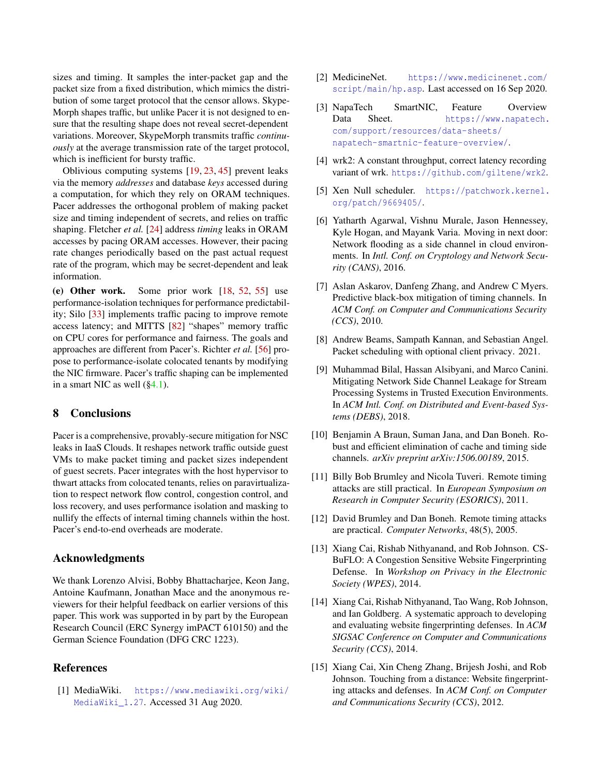sizes and timing. It samples the inter-packet gap and the packet size from a fixed distribution, which mimics the distribution of some target protocol that the censor allows. Skype-Morph shapes traffic, but unlike Pacer it is not designed to ensure that the resulting shape does not reveal secret-dependent variations. Moreover, SkypeMorph transmits traffic *continuously* at the average transmission rate of the target protocol, which is inefficient for bursty traffic.

Oblivious computing systems [\[19,](#page-15-17) [23,](#page-15-18) [45\]](#page-16-17) prevent leaks via the memory *addresses* and database *keys* accessed during a computation, for which they rely on ORAM techniques. Pacer addresses the orthogonal problem of making packet size and timing independent of secrets, and relies on traffic shaping. Fletcher *et al.* [\[24\]](#page-15-19) address *timing* leaks in ORAM accesses by pacing ORAM accesses. However, their pacing rate changes periodically based on the past actual request rate of the program, which may be secret-dependent and leak information.

(e) Other work. Some prior work [\[18,](#page-15-20) [52,](#page-16-18) [55\]](#page-16-19) use performance-isolation techniques for performance predictability; Silo [\[33\]](#page-15-21) implements traffic pacing to improve remote access latency; and MITTS [\[82\]](#page-17-20) "shapes" memory traffic on CPU cores for performance and fairness. The goals and approaches are different from Pacer's. Richter *et al.* [\[56\]](#page-16-20) propose to performance-isolate colocated tenants by modifying the NIC firmware. Pacer's traffic shaping can be implemented in a smart NIC as well  $(\S 4.1)$ .

## <span id="page-14-6"></span>8 Conclusions

Pacer is a comprehensive, provably-secure mitigation for NSC leaks in IaaS Clouds. It reshapes network traffic outside guest VMs to make packet timing and packet sizes independent of guest secrets. Pacer integrates with the host hypervisor to thwart attacks from colocated tenants, relies on paravirtualization to respect network flow control, congestion control, and loss recovery, and uses performance isolation and masking to nullify the effects of internal timing channels within the host. Pacer's end-to-end overheads are moderate.

#### Acknowledgments

We thank Lorenzo Alvisi, Bobby Bhattacharjee, Keon Jang, Antoine Kaufmann, Jonathan Mace and the anonymous reviewers for their helpful feedback on earlier versions of this paper. This work was supported in by part by the European Research Council (ERC Synergy imPACT 610150) and the German Science Foundation (DFG CRC 1223).

## References

<span id="page-14-10"></span>[1] MediaWiki. [https://www.mediawiki.org/wiki/](https://www.mediawiki.org/wiki/MediaWiki_1.27) [MediaWiki\\_1.27](https://www.mediawiki.org/wiki/MediaWiki_1.27). Accessed 31 Aug 2020.

- <span id="page-14-11"></span>[2] MedicineNet. [https://www.medicinenet.com/](https://www.medicinenet.com/script/main/hp.asp) [script/main/hp.asp](https://www.medicinenet.com/script/main/hp.asp). Last accessed on 16 Sep 2020.
- <span id="page-14-8"></span>[3] NapaTech SmartNIC, Feature Overview Data Sheet. [https://www.napatech.](https://www.napatech.com/support/resources/data-sheets/napatech-smartnic-feature-overview/) [com/support/resources/data-sheets/](https://www.napatech.com/support/resources/data-sheets/napatech-smartnic-feature-overview/) [napatech-smartnic-feature-overview/](https://www.napatech.com/support/resources/data-sheets/napatech-smartnic-feature-overview/).
- <span id="page-14-13"></span>[4] wrk2: A constant throughput, correct latency recording variant of wrk. <https://github.com/giltene/wrk2>.
- <span id="page-14-9"></span>[5] Xen Null scheduler. [https://patchwork.kernel.](https://patchwork.kernel.org/patch/9669405/) [org/patch/9669405/](https://patchwork.kernel.org/patch/9669405/).
- <span id="page-14-3"></span>[6] Yatharth Agarwal, Vishnu Murale, Jason Hennessey, Kyle Hogan, and Mayank Varia. Moving in next door: Network flooding as a side channel in cloud environments. In *Intl. Conf. on Cryptology and Network Security (CANS)*, 2016.
- <span id="page-14-4"></span>[7] Aslan Askarov, Danfeng Zhang, and Andrew C Myers. Predictive black-box mitigation of timing channels. In *ACM Conf. on Computer and Communications Security (CCS)*, 2010.
- <span id="page-14-14"></span>[8] Andrew Beams, Sampath Kannan, and Sebastian Angel. Packet scheduling with optional client privacy. 2021.
- <span id="page-14-15"></span>[9] Muhammad Bilal, Hassan Alsibyani, and Marco Canini. Mitigating Network Side Channel Leakage for Stream Processing Systems in Trusted Execution Environments. In *ACM Intl. Conf. on Distributed and Event-based Systems (DEBS)*, 2018.
- <span id="page-14-7"></span>[10] Benjamin A Braun, Suman Jana, and Dan Boneh. Robust and efficient elimination of cache and timing side channels. *arXiv preprint arXiv:1506.00189*, 2015.
- <span id="page-14-1"></span>[11] Billy Bob Brumley and Nicola Tuveri. Remote timing attacks are still practical. In *European Symposium on Research in Computer Security (ESORICS)*, 2011.
- <span id="page-14-2"></span>[12] David Brumley and Dan Boneh. Remote timing attacks are practical. *Computer Networks*, 48(5), 2005.
- <span id="page-14-5"></span>[13] Xiang Cai, Rishab Nithyanand, and Rob Johnson. CS-BuFLO: A Congestion Sensitive Website Fingerprinting Defense. In *Workshop on Privacy in the Electronic Society (WPES)*, 2014.
- <span id="page-14-12"></span>[14] Xiang Cai, Rishab Nithyanand, Tao Wang, Rob Johnson, and Ian Goldberg. A systematic approach to developing and evaluating website fingerprinting defenses. In *ACM SIGSAC Conference on Computer and Communications Security (CCS)*, 2014.
- <span id="page-14-0"></span>[15] Xiang Cai, Xin Cheng Zhang, Brijesh Joshi, and Rob Johnson. Touching from a distance: Website fingerprinting attacks and defenses. In *ACM Conf. on Computer and Communications Security (CCS)*, 2012.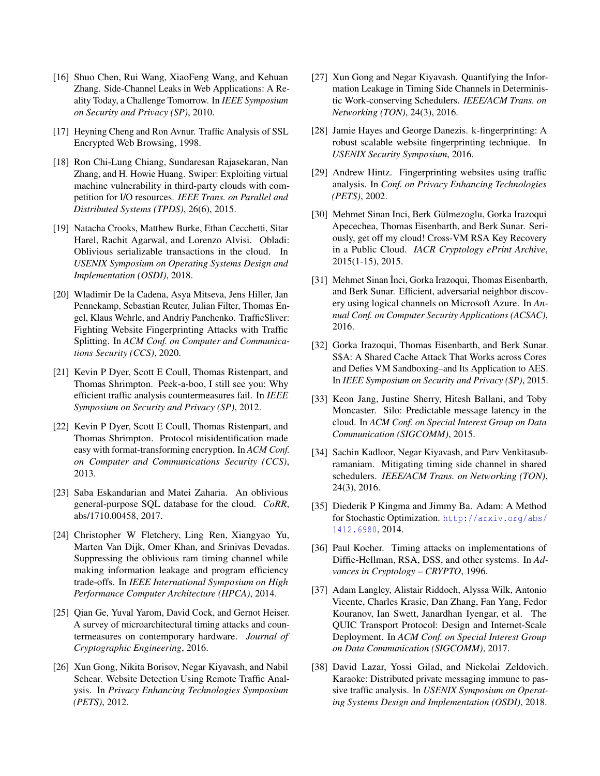- <span id="page-15-7"></span>[16] Shuo Chen, Rui Wang, XiaoFeng Wang, and Kehuan Zhang. Side-Channel Leaks in Web Applications: A Reality Today, a Challenge Tomorrow. In *IEEE Symposium on Security and Privacy (SP)*, 2010.
- <span id="page-15-2"></span>[17] Heyning Cheng and Ron Avnur. Traffic Analysis of SSL Encrypted Web Browsing, 1998.
- <span id="page-15-20"></span>[18] Ron Chi-Lung Chiang, Sundaresan Rajasekaran, Nan Zhang, and H. Howie Huang. Swiper: Exploiting virtual machine vulnerability in third-party clouds with competition for I/O resources. *IEEE Trans. on Parallel and Distributed Systems (TPDS)*, 26(6), 2015.
- <span id="page-15-17"></span>[19] Natacha Crooks, Matthew Burke, Ethan Cecchetti, Sitar Harel, Rachit Agarwal, and Lorenzo Alvisi. Obladi: Oblivious serializable transactions in the cloud. In *USENIX Symposium on Operating Systems Design and Implementation (OSDI)*, 2018.
- <span id="page-15-10"></span>[20] Wladimir De la Cadena, Asya Mitseva, Jens Hiller, Jan Pennekamp, Sebastian Reuter, Julian Filter, Thomas Engel, Klaus Wehrle, and Andriy Panchenko. TrafficSliver: Fighting Website Fingerprinting Attacks with Traffic Splitting. In *ACM Conf. on Computer and Communications Security (CCS)*, 2020.
- <span id="page-15-3"></span>[21] Kevin P Dyer, Scott E Coull, Thomas Ristenpart, and Thomas Shrimpton. Peek-a-boo, I still see you: Why efficient traffic analysis countermeasures fail. In *IEEE Symposium on Security and Privacy (SP)*, 2012.
- <span id="page-15-12"></span>[22] Kevin P Dyer, Scott E Coull, Thomas Ristenpart, and Thomas Shrimpton. Protocol misidentification made easy with format-transforming encryption. In *ACM Conf. on Computer and Communications Security (CCS)*, 2013.
- <span id="page-15-18"></span>[23] Saba Eskandarian and Matei Zaharia. An oblivious general-purpose SQL database for the cloud. *CoRR*, abs/1710.00458, 2017.
- <span id="page-15-19"></span>[24] Christopher W Fletchery, Ling Ren, Xiangyao Yu, Marten Van Dijk, Omer Khan, and Srinivas Devadas. Suppressing the oblivious ram timing channel while making information leakage and program efficiency trade-offs. In *IEEE International Symposium on High Performance Computer Architecture (HPCA)*, 2014.
- <span id="page-15-0"></span>[25] Oian Ge, Yuval Yarom, David Cock, and Gernot Heiser. A survey of microarchitectural timing attacks and countermeasures on contemporary hardware. *Journal of Cryptographic Engineering*, 2016.
- <span id="page-15-4"></span>[26] Xun Gong, Nikita Borisov, Negar Kiyavash, and Nabil Schear. Website Detection Using Remote Traffic Analysis. In *Privacy Enhancing Technologies Symposium (PETS)*, 2012.
- <span id="page-15-15"></span>[27] Xun Gong and Negar Kiyavash. Quantifying the Information Leakage in Timing Side Channels in Deterministic Work-conserving Schedulers. *IEEE/ACM Trans. on Networking (TON)*, 24(3), 2016.
- <span id="page-15-5"></span>[28] Jamie Hayes and George Danezis. k-fingerprinting: A robust scalable website fingerprinting technique. In *USENIX Security Symposium*, 2016.
- <span id="page-15-6"></span>[29] Andrew Hintz. Fingerprinting websites using traffic analysis. In *Conf. on Privacy Enhancing Technologies (PETS)*, 2002.
- <span id="page-15-8"></span>[30] Mehmet Sinan Inci, Berk Gülmezoglu, Gorka Irazoqui Apecechea, Thomas Eisenbarth, and Berk Sunar. Seriously, get off my cloud! Cross-VM RSA Key Recovery in a Public Cloud. *IACR Cryptology ePrint Archive*, 2015(1-15), 2015.
- <span id="page-15-9"></span>[31] Mehmet Sinan İnci, Gorka Irazoqui, Thomas Eisenbarth, and Berk Sunar. Efficient, adversarial neighbor discovery using logical channels on Microsoft Azure. In *Annual Conf. on Computer Security Applications (ACSAC)*, 2016.
- <span id="page-15-1"></span>[32] Gorka Irazoqui, Thomas Eisenbarth, and Berk Sunar. S\$A: A Shared Cache Attack That Works across Cores and Defies VM Sandboxing–and Its Application to AES. In *IEEE Symposium on Security and Privacy (SP)*, 2015.
- <span id="page-15-21"></span>[33] Keon Jang, Justine Sherry, Hitesh Ballani, and Toby Moncaster. Silo: Predictable message latency in the cloud. In *ACM Conf. on Special Interest Group on Data Communication (SIGCOMM)*, 2015.
- <span id="page-15-14"></span>[34] Sachin Kadloor, Negar Kiyavash, and Parv Venkitasubramaniam. Mitigating timing side channel in shared schedulers. *IEEE/ACM Trans. on Networking (TON)*, 24(3), 2016.
- <span id="page-15-22"></span>[35] Diederik P Kingma and Jimmy Ba. Adam: A Method for Stochastic Optimization. [http://arxiv.org/abs/](http://arxiv.org/abs/1412.6980) [1412.6980](http://arxiv.org/abs/1412.6980), 2014.
- <span id="page-15-11"></span>[36] Paul Kocher. Timing attacks on implementations of Diffie-Hellman, RSA, DSS, and other systems. In *Advances in Cryptology – CRYPTO*, 1996.
- <span id="page-15-13"></span>[37] Adam Langley, Alistair Riddoch, Alyssa Wilk, Antonio Vicente, Charles Krasic, Dan Zhang, Fan Yang, Fedor Kouranov, Ian Swett, Janardhan Iyengar, et al. The QUIC Transport Protocol: Design and Internet-Scale Deployment. In *ACM Conf. on Special Interest Group on Data Communication (SIGCOMM)*, 2017.
- <span id="page-15-16"></span>[38] David Lazar, Yossi Gilad, and Nickolai Zeldovich. Karaoke: Distributed private messaging immune to passive traffic analysis. In *USENIX Symposium on Operating Systems Design and Implementation (OSDI)*, 2018.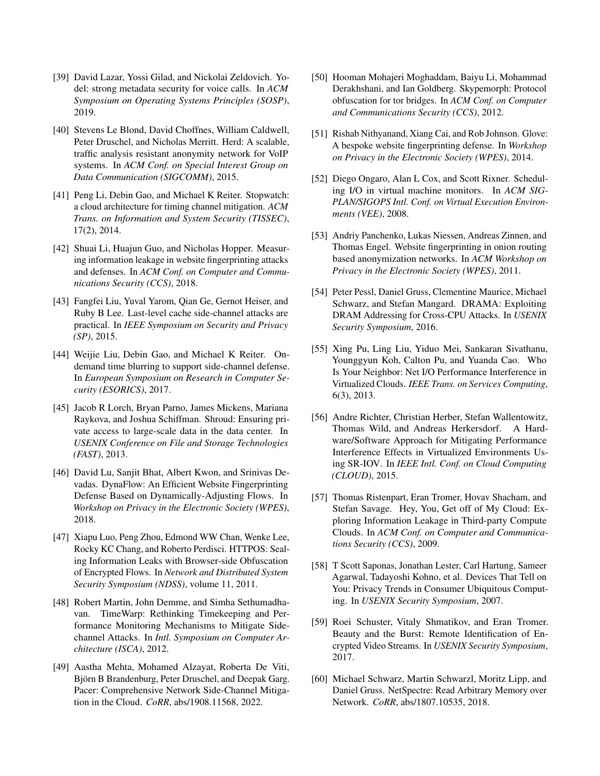- <span id="page-16-15"></span>[39] David Lazar, Yossi Gilad, and Nickolai Zeldovich. Yodel: strong metadata security for voice calls. In *ACM Symposium on Operating Systems Principles (SOSP)*, 2019.
- <span id="page-16-14"></span>[40] Stevens Le Blond, David Choffnes, William Caldwell, Peter Druschel, and Nicholas Merritt. Herd: A scalable, traffic analysis resistant anonymity network for VoIP systems. In *ACM Conf. on Special Interest Group on Data Communication (SIGCOMM)*, 2015.
- <span id="page-16-11"></span>[41] Peng Li, Debin Gao, and Michael K Reiter. Stopwatch: a cloud architecture for timing channel mitigation. *ACM Trans. on Information and System Security (TISSEC)*, 17(2), 2014.
- <span id="page-16-3"></span>[42] Shuai Li, Huajun Guo, and Nicholas Hopper. Measuring information leakage in website fingerprinting attacks and defenses. In *ACM Conf. on Computer and Communications Security (CCS)*, 2018.
- <span id="page-16-0"></span>[43] Fangfei Liu, Yuval Yarom, Qian Ge, Gernot Heiser, and Ruby B Lee. Last-level cache side-channel attacks are practical. In *IEEE Symposium on Security and Privacy (SP)*, 2015.
- <span id="page-16-9"></span>[44] Weijie Liu, Debin Gao, and Michael K Reiter. Ondemand time blurring to support side-channel defense. In *European Symposium on Research in Computer Security (ESORICS)*, 2017.
- <span id="page-16-17"></span>[45] Jacob R Lorch, Bryan Parno, James Mickens, Mariana Raykova, and Joshua Schiffman. Shroud: Ensuring private access to large-scale data in the data center. In *USENIX Conference on File and Storage Technologies (FAST)*, 2013.
- <span id="page-16-7"></span>[46] David Lu, Sanjit Bhat, Albert Kwon, and Srinivas Devadas. DynaFlow: An Efficient Website Fingerprinting Defense Based on Dynamically-Adjusting Flows. In *Workshop on Privacy in the Electronic Society (WPES)*, 2018.
- <span id="page-16-6"></span>[47] Xiapu Luo, Peng Zhou, Edmond WW Chan, Wenke Lee, Rocky KC Chang, and Roberto Perdisci. HTTPOS: Sealing Information Leaks with Browser-side Obfuscation of Encrypted Flows. In *Network and Distributed System Security Symposium (NDSS)*, volume 11, 2011.
- <span id="page-16-10"></span>[48] Robert Martin, John Demme, and Simha Sethumadhavan. TimeWarp: Rethinking Timekeeping and Performance Monitoring Mechanisms to Mitigate Sidechannel Attacks. In *Intl. Symposium on Computer Architecture (ISCA)*, 2012.
- <span id="page-16-8"></span>[49] Aastha Mehta, Mohamed Alzayat, Roberta De Viti, Björn B Brandenburg, Peter Druschel, and Deepak Garg. Pacer: Comprehensive Network Side-Channel Mitigation in the Cloud. *CoRR*, abs/1908.11568, 2022.
- <span id="page-16-16"></span>[50] Hooman Mohajeri Moghaddam, Baiyu Li, Mohammad Derakhshani, and Ian Goldberg. Skypemorph: Protocol obfuscation for tor bridges. In *ACM Conf. on Computer and Communications Security (CCS)*, 2012.
- <span id="page-16-13"></span>[51] Rishab Nithyanand, Xiang Cai, and Rob Johnson. Glove: A bespoke website fingerprinting defense. In *Workshop on Privacy in the Electronic Society (WPES)*, 2014.
- <span id="page-16-18"></span>[52] Diego Ongaro, Alan L Cox, and Scott Rixner. Scheduling I/O in virtual machine monitors. In *ACM SIG-PLAN/SIGOPS Intl. Conf. on Virtual Execution Environments (VEE)*, 2008.
- <span id="page-16-21"></span>[53] Andriy Panchenko, Lukas Niessen, Andreas Zinnen, and Thomas Engel. Website fingerprinting in onion routing based anonymization networks. In *ACM Workshop on Privacy in the Electronic Society (WPES)*, 2011.
- <span id="page-16-1"></span>[54] Peter Pessl, Daniel Gruss, Clementine Maurice, Michael Schwarz, and Stefan Mangard. DRAMA: Exploiting DRAM Addressing for Cross-CPU Attacks. In *USENIX Security Symposium*, 2016.
- <span id="page-16-19"></span>[55] Xing Pu, Ling Liu, Yiduo Mei, Sankaran Sivathanu, Younggyun Koh, Calton Pu, and Yuanda Cao. Who Is Your Neighbor: Net I/O Performance Interference in Virtualized Clouds. *IEEE Trans. on Services Computing*, 6(3), 2013.
- <span id="page-16-20"></span>[56] Andre Richter, Christian Herber, Stefan Wallentowitz, Thomas Wild, and Andreas Herkersdorf. A Hardware/Software Approach for Mitigating Performance Interference Effects in Virtualized Environments Using SR-IOV. In *IEEE Intl. Conf. on Cloud Computing (CLOUD)*, 2015.
- <span id="page-16-5"></span>[57] Thomas Ristenpart, Eran Tromer, Hovav Shacham, and Stefan Savage. Hey, You, Get off of My Cloud: Exploring Information Leakage in Third-party Compute Clouds. In *ACM Conf. on Computer and Communications Security (CCS)*, 2009.
- <span id="page-16-12"></span>[58] T Scott Saponas, Jonathan Lester, Carl Hartung, Sameer Agarwal, Tadayoshi Kohno, et al. Devices That Tell on You: Privacy Trends in Consumer Ubiquitous Computing. In *USENIX Security Symposium*, 2007.
- <span id="page-16-4"></span>[59] Roei Schuster, Vitaly Shmatikov, and Eran Tromer. Beauty and the Burst: Remote Identification of Encrypted Video Streams. In *USENIX Security Symposium*, 2017.
- <span id="page-16-2"></span>[60] Michael Schwarz, Martin Schwarzl, Moritz Lipp, and Daniel Gruss. NetSpectre: Read Arbitrary Memory over Network. *CoRR*, abs/1807.10535, 2018.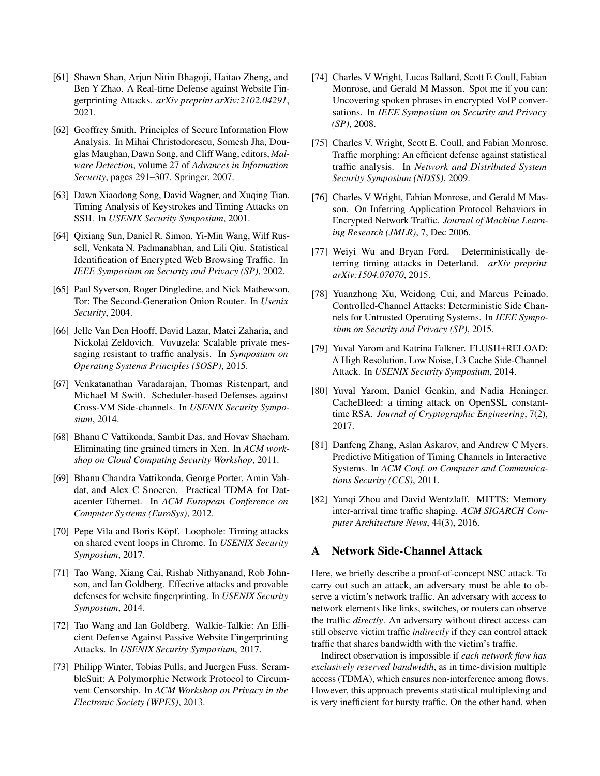- <span id="page-17-7"></span>[61] Shawn Shan, Arjun Nitin Bhagoji, Haitao Zheng, and Ben Y Zhao. A Real-time Defense against Website Fingerprinting Attacks. *arXiv preprint arXiv:2102.04291*, 2021.
- <span id="page-17-15"></span>[62] Geoffrey Smith. Principles of Secure Information Flow Analysis. In Mihai Christodorescu, Somesh Jha, Douglas Maughan, Dawn Song, and Cliff Wang, editors, *Malware Detection*, volume 27 of *Advances in Information Security*, pages 291–307. Springer, 2007.
- <span id="page-17-5"></span>[63] Dawn Xiaodong Song, David Wagner, and Xuqing Tian. Timing Analysis of Keystrokes and Timing Attacks on SSH. In *USENIX Security Symposium*, 2001.
- <span id="page-17-2"></span>[64] Qixiang Sun, Daniel R. Simon, Yi-Min Wang, Wilf Russell, Venkata N. Padmanabhan, and Lili Qiu. Statistical Identification of Encrypted Web Browsing Traffic. In *IEEE Symposium on Security and Privacy (SP)*, 2002.
- <span id="page-17-14"></span>[65] Paul Syverson, Roger Dingledine, and Nick Mathewson. Tor: The Second-Generation Onion Router. In *Usenix Security*, 2004.
- <span id="page-17-18"></span>[66] Jelle Van Den Hooff, David Lazar, Matei Zaharia, and Nickolai Zeldovich. Vuvuzela: Scalable private messaging resistant to traffic analysis. In *Symposium on Operating Systems Principles (SOSP)*, 2015.
- <span id="page-17-12"></span>[67] Venkatanathan Varadarajan, Thomas Ristenpart, and Michael M Swift. Scheduler-based Defenses against Cross-VM Side-channels. In *USENIX Security Symposium*, 2014.
- <span id="page-17-16"></span>[68] Bhanu C Vattikonda, Sambit Das, and Hovav Shacham. Eliminating fine grained timers in Xen. In *ACM workshop on Cloud Computing Security Workshop*, 2011.
- <span id="page-17-10"></span>[69] Bhanu Chandra Vattikonda, George Porter, Amin Vahdat, and Alex C Snoeren. Practical TDMA for Datacenter Ethernet. In *ACM European Conference on Computer Systems (EuroSys)*, 2012.
- <span id="page-17-21"></span>[70] Pepe Vila and Boris Köpf. Loophole: Timing attacks on shared event loops in Chrome. In *USENIX Security Symposium*, 2017.
- <span id="page-17-3"></span>[71] Tao Wang, Xiang Cai, Rishab Nithyanand, Rob Johnson, and Ian Goldberg. Effective attacks and provable defenses for website fingerprinting. In *USENIX Security Symposium*, 2014.
- <span id="page-17-11"></span>[72] Tao Wang and Ian Goldberg. Walkie-Talkie: An Efficient Defense Against Passive Website Fingerprinting Attacks. In *USENIX Security Symposium*, 2017.
- <span id="page-17-19"></span>[73] Philipp Winter, Tobias Pulls, and Juergen Fuss. ScrambleSuit: A Polymorphic Network Protocol to Circumvent Censorship. In *ACM Workshop on Privacy in the Electronic Society (WPES)*, 2013.
- <span id="page-17-4"></span>[74] Charles V Wright, Lucas Ballard, Scott E Coull, Fabian Monrose, and Gerald M Masson. Spot me if you can: Uncovering spoken phrases in encrypted VoIP conversations. In *IEEE Symposium on Security and Privacy (SP)*, 2008.
- <span id="page-17-8"></span>[75] Charles V. Wright, Scott E. Coull, and Fabian Monrose. Traffic morphing: An efficient defense against statistical traffic analysis. In *Network and Distributed System Security Symposium (NDSS)*, 2009.
- <span id="page-17-13"></span>[76] Charles V Wright, Fabian Monrose, and Gerald M Masson. On Inferring Application Protocol Behaviors in Encrypted Network Traffic. *Journal of Machine Learning Research (JMLR)*, 7, Dec 2006.
- <span id="page-17-9"></span>[77] Weiyi Wu and Bryan Ford. Deterministically deterring timing attacks in Deterland. *arXiv preprint arXiv:1504.07070*, 2015.
- <span id="page-17-0"></span>[78] Yuanzhong Xu, Weidong Cui, and Marcus Peinado. Controlled-Channel Attacks: Deterministic Side Channels for Untrusted Operating Systems. In *IEEE Symposium on Security and Privacy (SP)*, 2015.
- [79] Yuval Yarom and Katrina Falkner. FLUSH+RELOAD: A High Resolution, Low Noise, L3 Cache Side-Channel Attack. In *USENIX Security Symposium*, 2014.
- <span id="page-17-1"></span>[80] Yuval Yarom, Daniel Genkin, and Nadia Heninger. CacheBleed: a timing attack on OpenSSL constanttime RSA. *Journal of Cryptographic Engineering*, 7(2), 2017.
- <span id="page-17-17"></span>[81] Danfeng Zhang, Aslan Askarov, and Andrew C Myers. Predictive Mitigation of Timing Channels in Interactive Systems. In *ACM Conf. on Computer and Communications Security (CCS)*, 2011.
- <span id="page-17-20"></span>[82] Yanqi Zhou and David Wentzlaff. MITTS: Memory inter-arrival time traffic shaping. *ACM SIGARCH Computer Architecture News*, 44(3), 2016.

## <span id="page-17-6"></span>A Network Side-Channel Attack

Here, we briefly describe a proof-of-concept NSC attack. To carry out such an attack, an adversary must be able to observe a victim's network traffic. An adversary with access to network elements like links, switches, or routers can observe the traffic *directly*. An adversary without direct access can still observe victim traffic *indirectly* if they can control attack traffic that shares bandwidth with the victim's traffic.

Indirect observation is impossible if *each network flow has exclusively reserved bandwidth*, as in time-division multiple access (TDMA), which ensures non-interference among flows. However, this approach prevents statistical multiplexing and is very inefficient for bursty traffic. On the other hand, when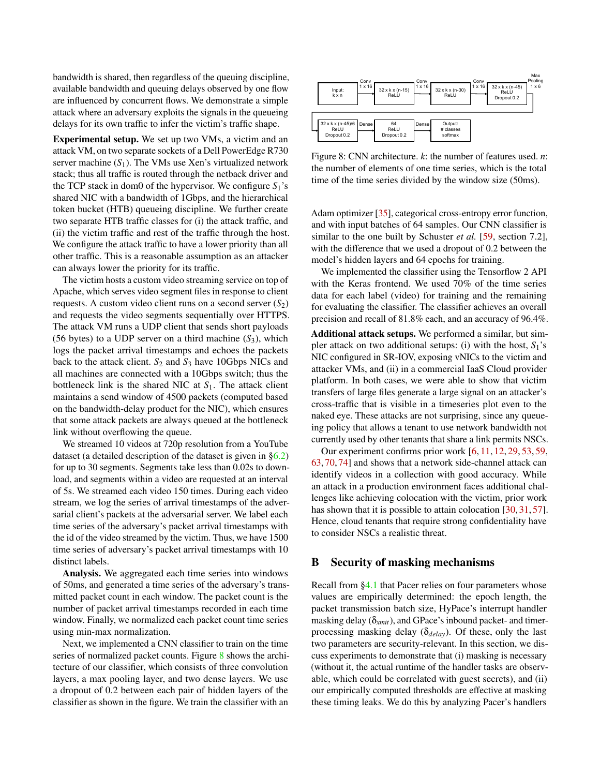bandwidth is shared, then regardless of the queuing discipline, available bandwidth and queuing delays observed by one flow are influenced by concurrent flows. We demonstrate a simple attack where an adversary exploits the signals in the queueing delays for its own traffic to infer the victim's traffic shape.

Experimental setup. We set up two VMs, a victim and an attack VM, on two separate sockets of a Dell PowerEdge R730 server machine  $(S_1)$ . The VMs use Xen's virtualized network stack; thus all traffic is routed through the netback driver and the TCP stack in dom0 of the hypervisor. We configure *S*1's shared NIC with a bandwidth of 1Gbps, and the hierarchical token bucket (HTB) queueing discipline. We further create two separate HTB traffic classes for (i) the attack traffic, and (ii) the victim traffic and rest of the traffic through the host. We configure the attack traffic to have a lower priority than all other traffic. This is a reasonable assumption as an attacker can always lower the priority for its traffic.

The victim hosts a custom video streaming service on top of Apache, which serves video segment files in response to client requests. A custom video client runs on a second server  $(S_2)$ and requests the video segments sequentially over HTTPS. The attack VM runs a UDP client that sends short payloads (56 bytes) to a UDP server on a third machine  $(S_3)$ , which logs the packet arrival timestamps and echoes the packets back to the attack client. *S*<sup>2</sup> and *S*<sup>3</sup> have 10Gbps NICs and all machines are connected with a 10Gbps switch; thus the bottleneck link is the shared NIC at *S*1. The attack client maintains a send window of 4500 packets (computed based on the bandwidth-delay product for the NIC), which ensures that some attack packets are always queued at the bottleneck link without overflowing the queue.

We streamed 10 videos at 720p resolution from a YouTube dataset (a detailed description of the dataset is given in [§6.2\)](#page-10-2) for up to 30 segments. Segments take less than 0.02s to download, and segments within a video are requested at an interval of 5s. We streamed each video 150 times. During each video stream, we log the series of arrival timestamps of the adversarial client's packets at the adversarial server. We label each time series of the adversary's packet arrival timestamps with the id of the video streamed by the victim. Thus, we have 1500 time series of adversary's packet arrival timestamps with 10 distinct labels.

Analysis. We aggregated each time series into windows of 50ms, and generated a time series of the adversary's transmitted packet count in each window. The packet count is the number of packet arrival timestamps recorded in each time window. Finally, we normalized each packet count time series using min-max normalization.

Next, we implemented a CNN classifier to train on the time series of normalized packet counts. Figure [8](#page-18-1) shows the architecture of our classifier, which consists of three convolution layers, a max pooling layer, and two dense layers. We use a dropout of 0.2 between each pair of hidden layers of the classifier as shown in the figure. We train the classifier with an

<span id="page-18-1"></span>

Figure 8: CNN architecture. *k*: the number of features used. *n*: the number of elements of one time series, which is the total time of the time series divided by the window size (50ms).

Adam optimizer [\[35\]](#page-15-22), categorical cross-entropy error function, and with input batches of 64 samples. Our CNN classifier is similar to the one built by Schuster *et al.* [\[59,](#page-16-4) section 7.2], with the difference that we used a dropout of 0.2 between the model's hidden layers and 64 epochs for training.

We implemented the classifier using the Tensorflow 2 API with the Keras frontend. We used 70% of the time series data for each label (video) for training and the remaining for evaluating the classifier. The classifier achieves an overall precision and recall of 81.8% each, and an accuracy of 96.4%.

Additional attack setups. We performed a similar, but simpler attack on two additional setups: (i) with the host,  $S_1$ 's NIC configured in SR-IOV, exposing vNICs to the victim and attacker VMs, and (ii) in a commercial IaaS Cloud provider platform. In both cases, we were able to show that victim transfers of large files generate a large signal on an attacker's cross-traffic that is visible in a timeseries plot even to the naked eye. These attacks are not surprising, since any queueing policy that allows a tenant to use network bandwidth not currently used by other tenants that share a link permits NSCs.

Our experiment confirms prior work [\[6,](#page-14-3) [11,](#page-14-1) [12,](#page-14-2) [29,](#page-15-6) [53,](#page-16-21) [59,](#page-16-4) [63,](#page-17-5) [70,](#page-17-21) [74\]](#page-17-4) and shows that a network side-channel attack can identify videos in a collection with good accuracy. While an attack in a production environment faces additional challenges like achieving colocation with the victim, prior work has shown that it is possible to attain colocation [\[30,](#page-15-8) [31,](#page-15-9) [57\]](#page-16-5). Hence, cloud tenants that require strong confidentiality have to consider NSCs a realistic threat.

#### <span id="page-18-0"></span>B Security of masking mechanisms

Recall from [§4.1](#page-5-1) that Pacer relies on four parameters whose values are empirically determined: the epoch length, the packet transmission batch size, HyPace's interrupt handler masking delay (δ*xmit*), and GPace's inbound packet- and timerprocessing masking delay (δ*delay*). Of these, only the last two parameters are security-relevant. In this section, we discuss experiments to demonstrate that (i) masking is necessary (without it, the actual runtime of the handler tasks are observable, which could be correlated with guest secrets), and (ii) our empirically computed thresholds are effective at masking these timing leaks. We do this by analyzing Pacer's handlers